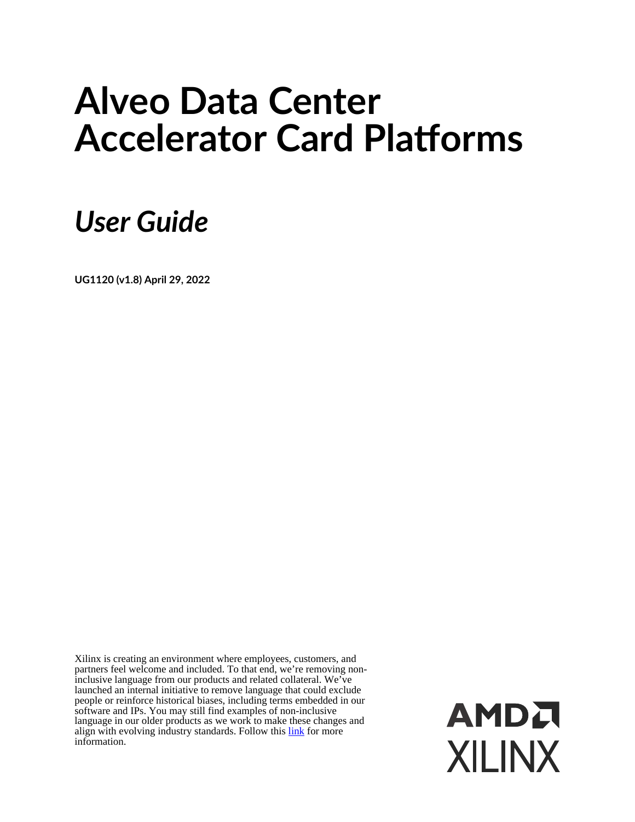# **Alveo Data Center Accelerator Card Platforms**

# *User Guide*

**UG1120 (v1.8) April 29, 2022**

Xilinx is creating an environment where employees, customers, and partners feel welcome and included. To that end, we're removing noninclusive language from our products and related collateral. We've launched an internal initiative to remove language that could exclude people or reinforce historical biases, including terms embedded in our software and IPs. You may still find examples of non-inclusive language in our older products as we work to make these changes and align with evolving industry standards. Follow this [link](https://www.xilinx.com/content/dam/xilinx/publications/about/Inclusive-terminology.pdf) for more information.

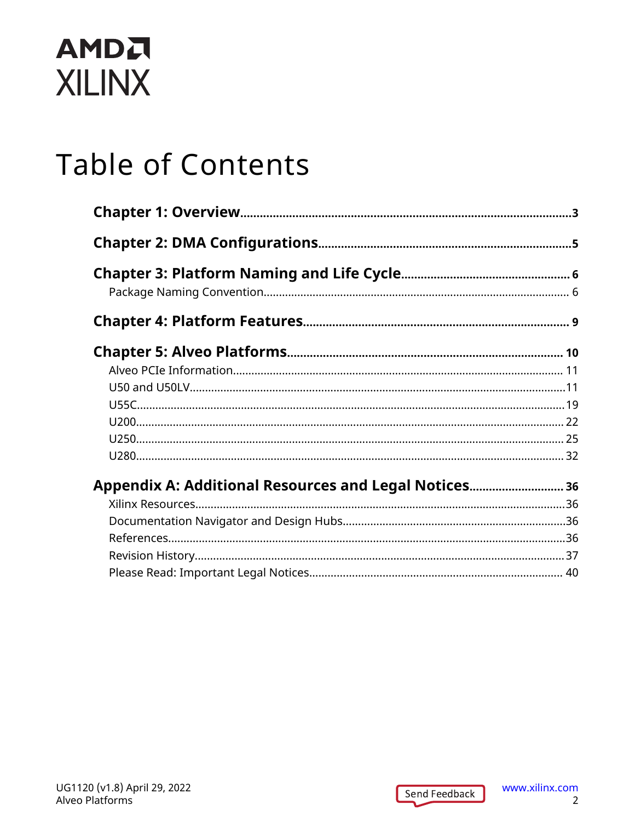# **Table of Contents**

| Appendix A: Additional Resources and Legal Notices 36 |  |
|-------------------------------------------------------|--|
|                                                       |  |
|                                                       |  |
|                                                       |  |
|                                                       |  |
|                                                       |  |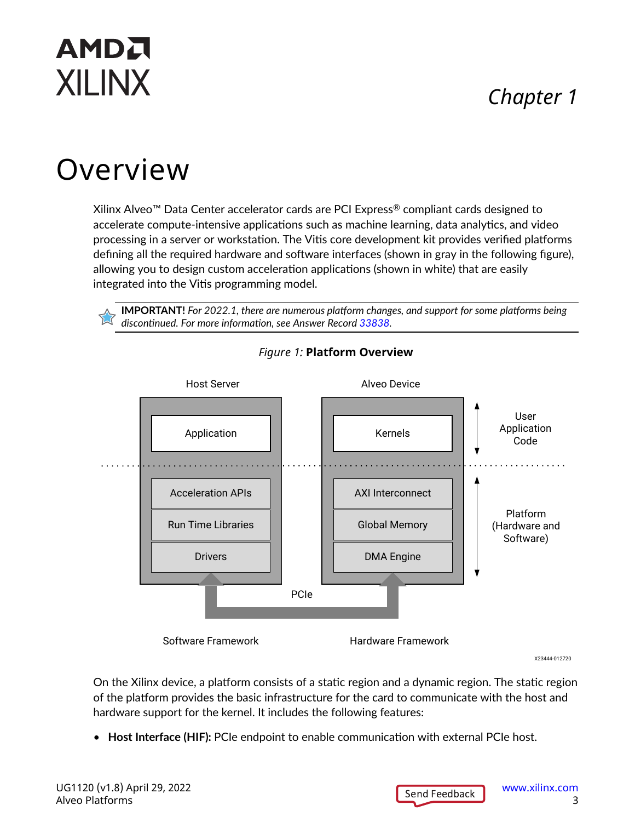## *Chapter 1*

# <span id="page-2-0"></span>Overview

Xilinx Alveo™ Data Center accelerator cards are PCI Express® compliant cards designed to accelerate compute-intensive applications such as machine learning, data analytics, and video processing in a server or workstation. The Vitis core development kit provides verified platforms defining all the required hardware and software interfaces (shown in gray in the following figure), allowing you to design custom acceleration applications (shown in white) that are easily integrated into the Vitis programming model.

**IMPORTANT!** *For 2022.1, there are numerous platform changes, and support for some platforms being discontinued. For more information, see Answer Record [33838.](https://support.xilinx.com/s/article/33838)*



#### *Figure 1:* **Platform Overview**

X23444-012720

On the Xilinx device, a platform consists of a static region and a dynamic region. The static region of the platform provides the basic infrastructure for the card to communicate with the host and hardware support for the kernel. It includes the following features:

• **Host Interface (HIF):** PCIe endpoint to enable communication with external PCIe host.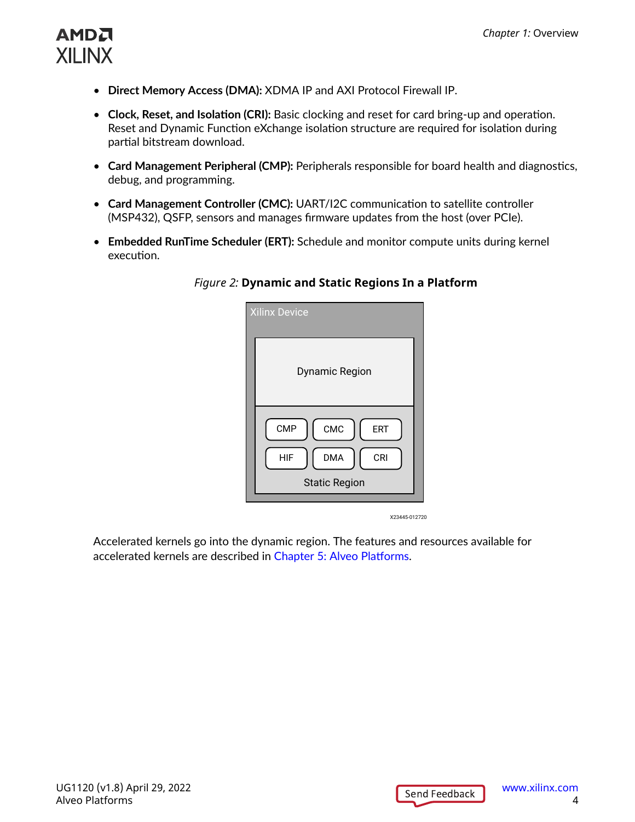

- **Direct Memory Access (DMA):** XDMA IP and AXI Protocol Firewall IP.
- **Clock, Reset, and Isolation (CRI):** Basic clocking and reset for card bring-up and operation. Reset and Dynamic Function eXchange isolation structure are required for isolation during partial bitstream download.
- **Card Management Peripheral (CMP):** Peripherals responsible for board health and diagnostics, debug, and programming.
- **Card Management Controller (CMC):** UART/I2C communication to satellite controller (MSP432), QSFP, sensors and manages firmware updates from the host (over PCIe).
- **Embedded RunTime Scheduler (ERT):** Schedule and monitor compute units during kernel execution.

| Dynamic Region                                                                                    |
|---------------------------------------------------------------------------------------------------|
| CMC<br><b>CMP</b><br><b>ERT</b><br><b>DMA</b><br><b>CRI</b><br><b>HIF</b><br><b>Static Region</b> |

#### *Figure 2:* **Dynamic and Static Regions In a Platform**

X23445-012720

Accelerated kernels go into the dynamic region. The features and resources available for accelerated kernels are described in [Chapter 5: Alveo Platforms.](#page-9-0)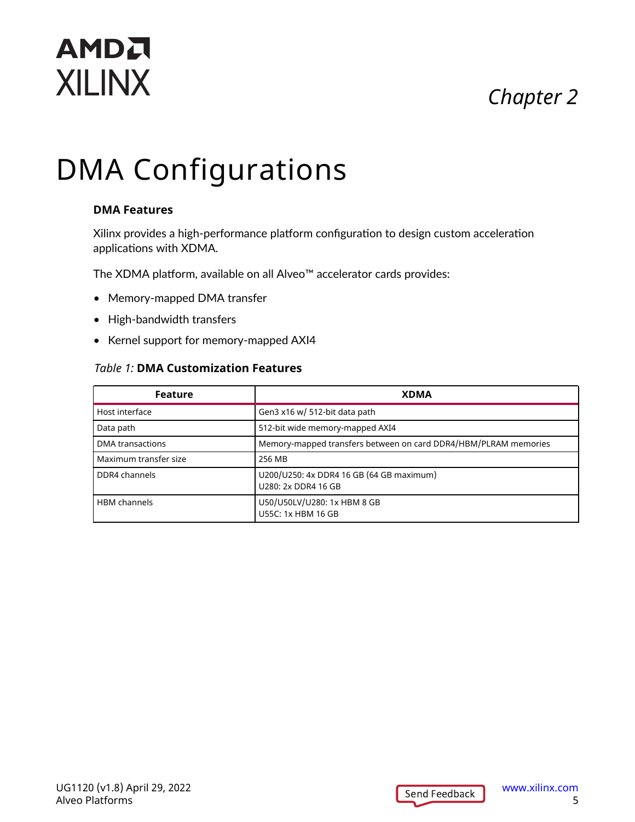# *Chapter 2*

# <span id="page-4-0"></span>**AMDA XILINX**

# DMA Configurations

#### **DMA Features**

Xilinx provides a high-performance platform configuration to design custom acceleration applications with XDMA.

The XDMA platform, available on all Alveo™ accelerator cards provides:

- Memory-mapped DMA transfer
- High-bandwidth transfers
- Kernel support for memory-mapped AXI4

#### *Table 1:* **DMA Customization Features**

| <b>Feature</b>        | <b>XDMA</b>                                                     |
|-----------------------|-----------------------------------------------------------------|
| Host interface        | Gen3 x16 w/ 512-bit data path                                   |
| Data path             | 512-bit wide memory-mapped AXI4                                 |
| DMA transactions      | Memory-mapped transfers between on card DDR4/HBM/PLRAM memories |
| Maximum transfer size | 256 MB                                                          |
| DDR4 channels         | U200/U250: 4x DDR4 16 GB (64 GB maximum)<br>U280: 2x DDR4 16 GB |
| <b>HBM</b> channels   | U50/U50LV/U280: 1x HBM 8 GB<br>U55C: 1x HBM 16 GB               |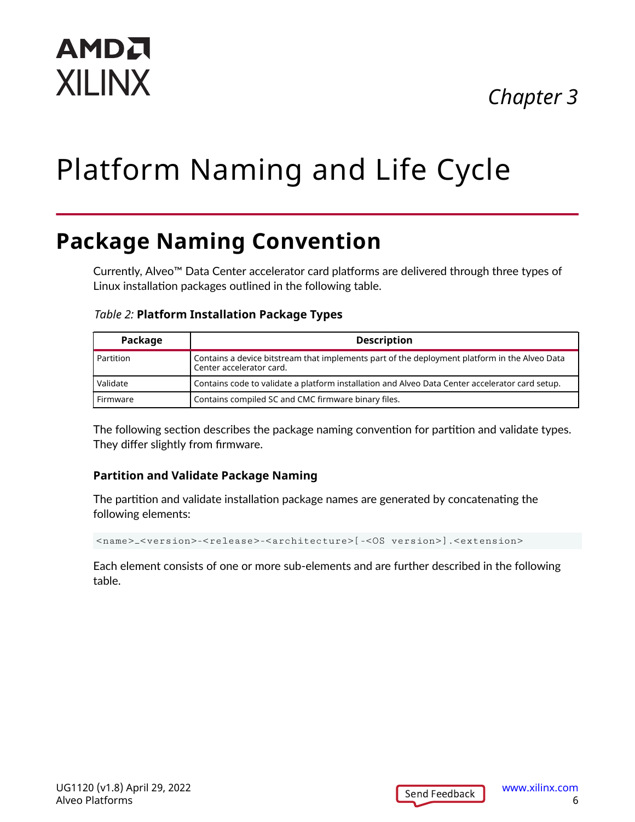# *Chapter 3*

# <span id="page-5-0"></span>Platform Naming and Life Cycle

# **Package Naming Convention**

Currently, Alveo™ Data Center accelerator card platforms are delivered through three types of Linux installation packages outlined in the following table.

#### *Table 2:* **Platform Installation Package Types**

| Package     | <b>Description</b>                                                                                                        |
|-------------|---------------------------------------------------------------------------------------------------------------------------|
| l Partition | Contains a device bitstream that implements part of the deployment platform in the Alveo Data<br>Center accelerator card. |
| Validate    | Contains code to validate a platform installation and Alveo Data Center accelerator card setup.                           |
| Firmware    | Contains compiled SC and CMC firmware binary files.                                                                       |

The following section describes the package naming convention for partition and validate types. They differ slightly from firmware.

#### **Partition and Validate Package Naming**

The partition and validate installation package names are generated by concatenating the following elements:

<name>\_<version>-<release>-<architecture>[-<OS version>].<extension>

Each element consists of one or more sub-elements and are further described in the following table.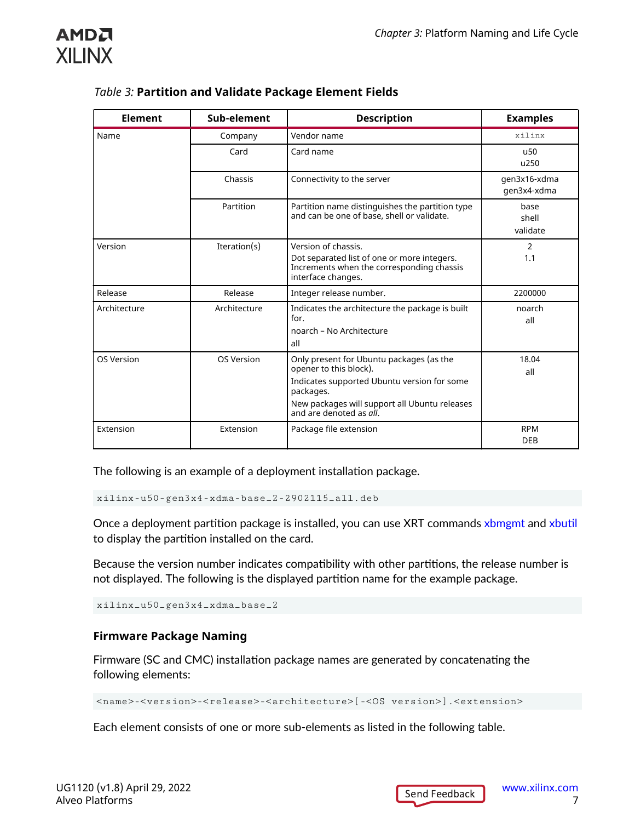

| <b>Element</b> | Sub-element       | <b>Description</b>                                                                                                                                                                                         | <b>Examples</b>             |
|----------------|-------------------|------------------------------------------------------------------------------------------------------------------------------------------------------------------------------------------------------------|-----------------------------|
| Name           | Company           | Vendor name                                                                                                                                                                                                | $x$ ilin $x$                |
|                | Card              | Card name                                                                                                                                                                                                  | u <sub>50</sub><br>u250     |
|                | Chassis           | Connectivity to the server                                                                                                                                                                                 | qen3x16-xdma<br>qen3x4-xdma |
|                | Partition         | Partition name distinguishes the partition type<br>and can be one of base, shell or validate.                                                                                                              | base<br>shell<br>validate   |
| Version        | Iteration(s)      | Version of chassis.<br>Dot separated list of one or more integers.<br>Increments when the corresponding chassis<br>interface changes.                                                                      | 2<br>1.1                    |
| Release        | Release           | Integer release number.                                                                                                                                                                                    | 2200000                     |
| Architecture   | Architecture      | Indicates the architecture the package is built<br>for.<br>noarch - No Architecture<br>all                                                                                                                 | noarch<br>all               |
| OS Version     | <b>OS Version</b> | Only present for Ubuntu packages (as the<br>opener to this block).<br>Indicates supported Ubuntu version for some<br>packages.<br>New packages will support all Ubuntu releases<br>and are denoted as all. | 18.04<br>all                |
| Extension      | Extension         | Package file extension                                                                                                                                                                                     | <b>RPM</b><br><b>DEB</b>    |

The following is an example of a deployment installation package.

xilinx-u50-gen3x4-xdma-base\_2-2902115\_all.deb

Once a deployment partition package is installed, you can use XRT commands [xbmgmt](https://xilinx.github.io/XRT/master/html/xbmgmt.html) and [xbutil](https://xilinx.github.io/XRT/master/html/xbutil.html) to display the partition installed on the card.

Because the version number indicates compatibility with other partitions, the release number is not displayed. The following is the displayed partition name for the example package.

xilinx\_u50\_gen3x4\_xdma\_base\_2

#### **Firmware Package Naming**

Firmware (SC and CMC) installation package names are generated by concatenating the following elements:

<name>-<version>-<release>-<architecture>[-<OS version>].<extension>

Each element consists of one or more sub-elements as listed in the following table.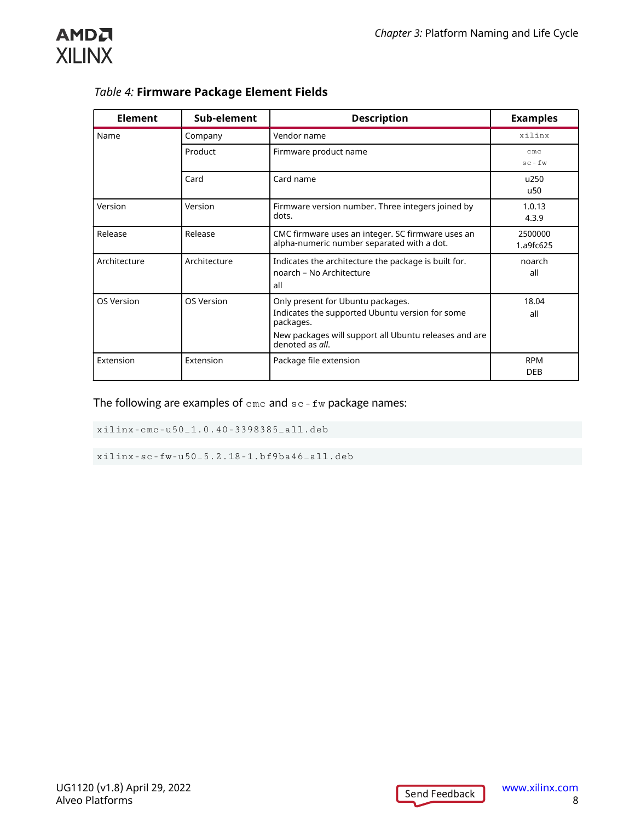

c

| <b>Element</b> | Sub-element  | <b>Description</b>                                                                                                                                                            | <b>Examples</b>            |
|----------------|--------------|-------------------------------------------------------------------------------------------------------------------------------------------------------------------------------|----------------------------|
| Name           | Company      | Vendor name                                                                                                                                                                   | xilinx                     |
|                | Product      | Firmware product name                                                                                                                                                         | cm <sub>c</sub><br>$sc-fw$ |
|                | Card         | Card name                                                                                                                                                                     | u250<br>u50                |
| Version        | Version      | Firmware version number. Three integers joined by<br>dots.                                                                                                                    | 1.0.13<br>4.3.9            |
| Release        | Release      | CMC firmware uses an integer. SC firmware uses an<br>alpha-numeric number separated with a dot.                                                                               | 2500000<br>1.a9fc625       |
| Architecture   | Architecture | Indicates the architecture the package is built for.<br>noarch - No Architecture<br>all                                                                                       | noarch<br>all              |
| OS Version     | OS Version   | Only present for Ubuntu packages.<br>Indicates the supported Ubuntu version for some<br>packages.<br>New packages will support all Ubuntu releases and are<br>denoted as all. | 18.04<br>all               |
| Extension      | Extension    | Package file extension                                                                                                                                                        | <b>RPM</b><br><b>DEB</b>   |

#### *Table 4:* **Firmware Package Element Fields**

The following are examples of  $\text{cm}c$  and  $\text{sc}$  -  $\text{fw}$  package names:

xilinx-cmc-u50\_1.0.40-3398385\_all.deb

xilinx-sc-fw-u50\_5.2.18-1.bf9ba46\_all.deb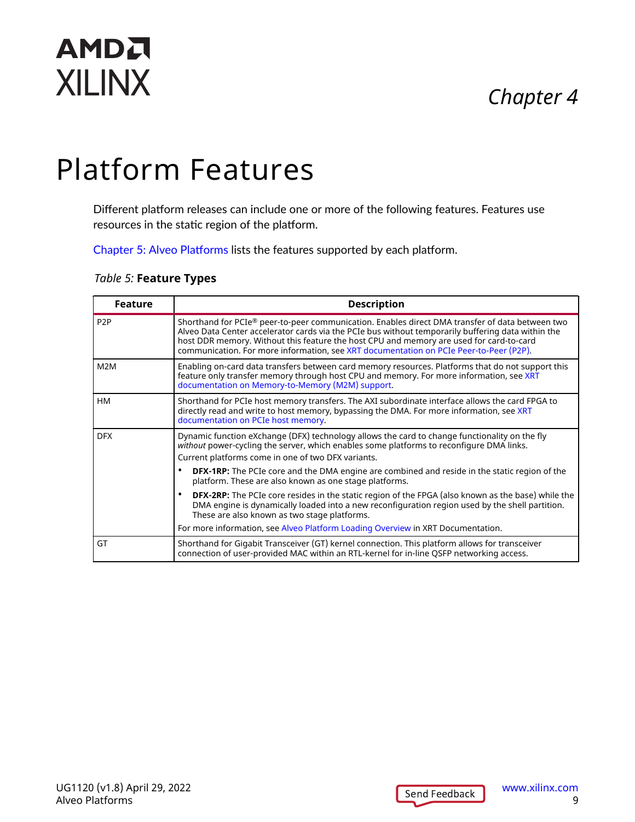## *Chapter 4*

# <span id="page-8-0"></span>**AMDA XILINX**

# Platform Features

Different platform releases can include one or more of the following features. Features use resources in the static region of the platform.

[Chapter 5: Alveo Platforms](#page-9-0) lists the features supported by each platform.

#### *Table 5:* **Feature Types**

| <b>Feature</b>   | <b>Description</b>                                                                                                                                                                                                                                                                                                                                                                         |
|------------------|--------------------------------------------------------------------------------------------------------------------------------------------------------------------------------------------------------------------------------------------------------------------------------------------------------------------------------------------------------------------------------------------|
| P <sub>2</sub> P | Shorthand for PCIe® peer-to-peer communication. Enables direct DMA transfer of data between two<br>Alveo Data Center accelerator cards via the PCIe bus without temporarily buffering data within the<br>host DDR memory. Without this feature the host CPU and memory are used for card-to-card<br>communication. For more information, see XRT documentation on PCIe Peer-to-Peer (P2P). |
| M <sub>2</sub> M | Enabling on-card data transfers between card memory resources. Platforms that do not support this<br>feature only transfer memory through host CPU and memory. For more information, see XRT<br>documentation on Memory-to-Memory (M2M) support.                                                                                                                                           |
| <b>HM</b>        | Shorthand for PCIe host memory transfers. The AXI subordinate interface allows the card FPGA to<br>directly read and write to host memory, bypassing the DMA. For more information, see XRT<br>documentation on PCIe host memory.                                                                                                                                                          |
| <b>DFX</b>       | Dynamic function eXchange (DFX) technology allows the card to change functionality on the fly<br>without power-cycling the server, which enables some platforms to reconfigure DMA links.<br>Current platforms come in one of two DFX variants.                                                                                                                                            |
|                  | <b>DFX-1RP:</b> The PCIe core and the DMA engine are combined and reside in the static region of the<br>٠<br>platform. These are also known as one stage platforms.                                                                                                                                                                                                                        |
|                  | <b>DFX-2RP:</b> The PCIe core resides in the static region of the FPGA (also known as the base) while the<br>٠<br>DMA engine is dynamically loaded into a new reconfiguration region used by the shell partition.<br>These are also known as two stage platforms.                                                                                                                          |
|                  | For more information, see Alveo Platform Loading Overview in XRT Documentation.                                                                                                                                                                                                                                                                                                            |
| GT               | Shorthand for Gigabit Transceiver (GT) kernel connection. This platform allows for transceiver<br>connection of user-provided MAC within an RTL-kernel for in-line QSFP networking access.                                                                                                                                                                                                 |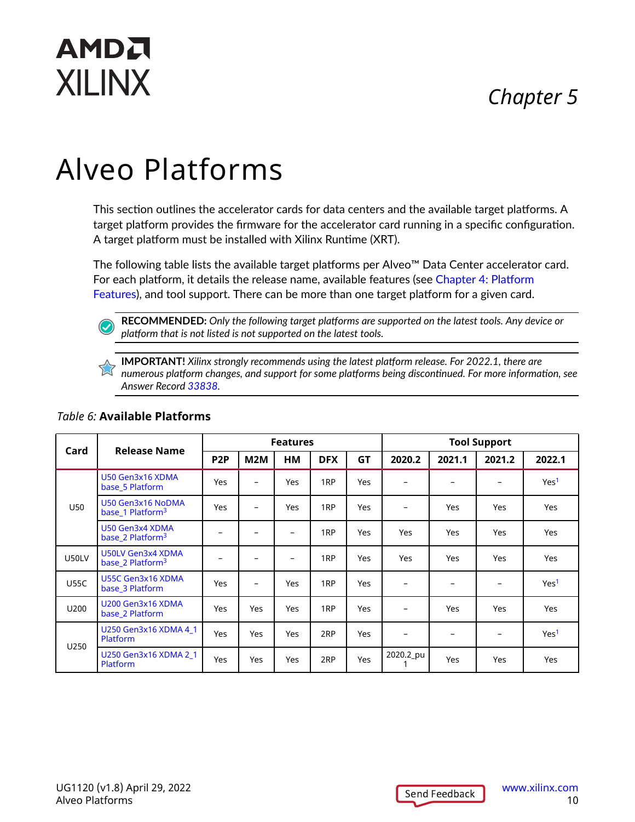# *Chapter 5*

# <span id="page-9-0"></span>AMDA **XILINX**

# Alveo Platforms

This section outlines the accelerator cards for data centers and the available target platforms. A target platform provides the firmware for the accelerator card running in a specific configuration. A target platform must be installed with Xilinx Runtime (XRT).

The following table lists the available target platforms per Alveo™ Data Center accelerator card. For each platform, it details the release name, available features (see [Chapter 4: Platform](#page-8-0) [Features](#page-8-0)), and tool support. There can be more than one target platform for a given card.

**RECOMMENDED:** *Only the following target platforms are supported on the latest tools. Any device or platform that is not listed is not supported on the latest tools.*

**IMPORTANT!** *Xilinx strongly recommends using the latest platform release. For 2022.1, there are numerous platform changes, and support for some platforms being discontinued. For more information, see Answer Record [33838](https://support.xilinx.com/s/article/33838).*

| Card        | <b>Release Name</b>                               | <b>Features</b>  |                          |                          |                 |            | <b>Tool Support</b> |                          |        |                  |
|-------------|---------------------------------------------------|------------------|--------------------------|--------------------------|-----------------|------------|---------------------|--------------------------|--------|------------------|
|             |                                                   | P <sub>2</sub> P | M2M                      | ΗМ                       | <b>DFX</b>      | <b>GT</b>  | 2020.2              | 2021.1                   | 2021.2 | 2022.1           |
|             | U50 Gen3x16 XDMA<br>base 5 Platform               | <b>Yes</b>       | $\overline{\phantom{0}}$ | <b>Yes</b>               | 1 <sub>RP</sub> | Yes        |                     |                          |        | Yes <sup>1</sup> |
| <b>U50</b>  | U50 Gen3x16 NoDMA<br>base 1 Platform <sup>3</sup> | <b>Yes</b>       | $\qquad \qquad -$        | <b>Yes</b>               | 1 <sub>RP</sub> | <b>Yes</b> | -                   | Yes                      | Yes    | Yes              |
|             | U50 Gen3x4 XDMA<br>base 2 Platform <sup>3</sup>   | $\qquad \qquad$  | $\overline{\phantom{a}}$ | $\overline{\phantom{a}}$ | 1 <sub>RP</sub> | Yes        | Yes                 | Yes                      | Yes    | <b>Yes</b>       |
| U50LV       | U50LV Gen3x4 XDMA<br>base_2 Platform <sup>3</sup> |                  |                          | $\overline{\phantom{0}}$ | 1 <sub>RP</sub> | <b>Yes</b> | Yes                 | <b>Yes</b>               | Yes    | <b>Yes</b>       |
| <b>U55C</b> | U55C Gen3x16 XDMA<br>base 3 Platform              | Yes              | $\overline{\phantom{0}}$ | <b>Yes</b>               | 1 <sub>RP</sub> | <b>Yes</b> |                     |                          |        | Yes <sup>1</sup> |
| U200        | U200 Gen3x16 XDMA<br>base 2 Platform              | <b>Yes</b>       | Yes                      | <b>Yes</b>               | 1 <sub>RP</sub> | <b>Yes</b> |                     | <b>Yes</b>               | Yes    | <b>Yes</b>       |
|             | U250 Gen3x16 XDMA 4 1<br><b>Platform</b>          | <b>Yes</b>       | Yes                      | <b>Yes</b>               | 2RP             | <b>Yes</b> |                     | $\overline{\phantom{a}}$ |        | Yes <sup>1</sup> |
| U250        | U250 Gen3x16 XDMA 2 1<br><b>Platform</b>          | <b>Yes</b>       | Yes                      | <b>Yes</b>               | 2RP             | <b>Yes</b> | 2020.2_pu           | <b>Yes</b>               | Yes    | Yes              |

#### *Table 6:* **Available Platforms**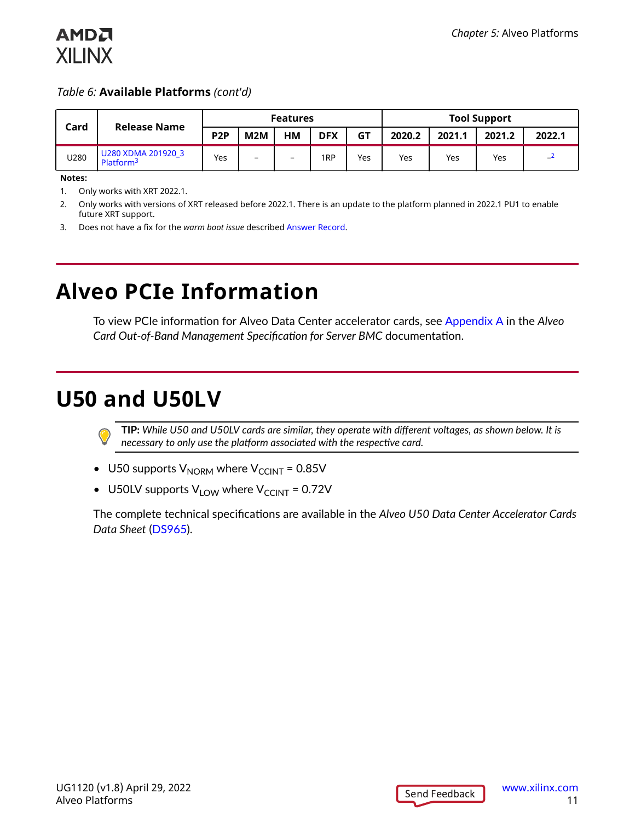#### *Table 6:* **Available Platforms** *(cont'd)*

| Card<br><b>Release Name</b> |                                             | <b>Features</b>  |                          |                          |                 |           | <b>Tool Support</b> |        |        |        |
|-----------------------------|---------------------------------------------|------------------|--------------------------|--------------------------|-----------------|-----------|---------------------|--------|--------|--------|
|                             |                                             | P <sub>2</sub> P | M2M                      | нм                       | <b>DFX</b>      | <b>GT</b> | 2020.2              | 2021.1 | 2021.2 | 2022.1 |
| U280                        | U280 XDMA 201920 3<br>Platform <sup>3</sup> | Yes              | $\overline{\phantom{m}}$ | $\overline{\phantom{0}}$ | 1 <sub>RP</sub> | Yes       | <b>Yes</b>          | Yes    | Yes    | –∸     |

**Notes:**

<span id="page-10-0"></span>**AMDA XILINX** 

- 1. Only works with XRT 2022.1.
- 2. Only works with versions of XRT released before 2022.1. There is an update to the platform planned in 2022.1 PU1 to enable future XRT support.
- 3. Does not have a fix for the *warm boot issue* described [Answer Record.](https://support.xilinx.com/s/article/Alveo-Alveo-cards-may-disappear-from-lspci-following-a-warm-reboot?language=en_US)

## **Alveo PCIe Information**

To view PCIe information for Alveo Data Center accelerator cards, see [Appendix A](https://xilinx.github.io/Alveo-Cards/master/management-specification/appendix_a.html) in the *Alveo Card Out-of-Band Management Specification for Server BMC* documentation.

## **U50 and U50LV**

**TIP:** *While U50 and U50LV cards are similar, they operate with different voltages, as shown below. It is necessary to only use the platform associated with the respective card.*

- U50 supports  $V_{NORM}$  where  $V_{CCMT}$  = 0.85V
- U50LV supports  $V_{LOW}$  where  $V_{CCINT}$  = 0.72V

The complete technical specifications are available in the *Alveo U50 Data Center Accelerator Cards Data Sheet* ([DS965](https://www.xilinx.com/cgi-bin/docs/ndoc?t=data_sheets;d=ds965-u50.pdf)).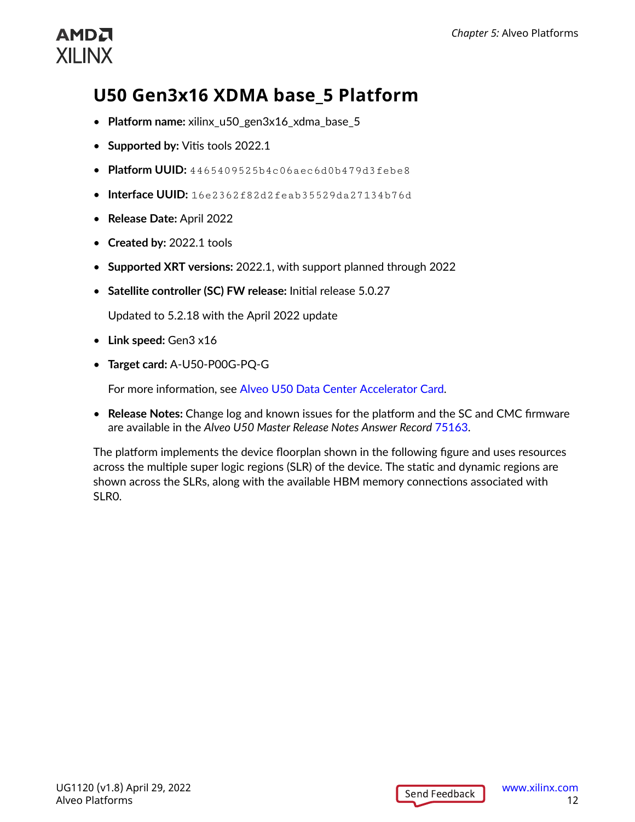## <span id="page-11-0"></span>**U50 Gen3x16 XDMA base\_5 Platform**

- **Platform name:** xilinx\_u50\_gen3x16\_xdma\_base\_5
- **Supported by:** Vitis tools 2022.1
- **Platform UUID:** 4465409525b4c06aec6d0b479d3febe8
- **Interface UUID:** 16e2362f82d2feab35529da27134b76d
- **Release Date:** April 2022
- **Created by:** 2022.1 tools
- **Supported XRT versions:** 2022.1, with support planned through 2022
- **Satellite controller (SC) FW release:** Initial release 5.0.27

Updated to 5.2.18 with the April 2022 update

- **Link speed:** Gen3 x16
- **Target card:** A-U50-P00G-PQ-G

For more information, see [Alveo U50 Data Center Accelerator Card](https://www.xilinx.com/products/boards-and-kits/alveo/u50.html).

• **Release Notes:** Change log and known issues for the platform and the SC and CMC firmware are available in the *Alveo U50 Master Release Notes Answer Record* [75163](https://www.xilinx.com/support/answers/75163.html).

The platform implements the device floorplan shown in the following figure and uses resources across the multiple super logic regions (SLR) of the device. The static and dynamic regions are shown across the SLRs, along with the available HBM memory connections associated with SLR0.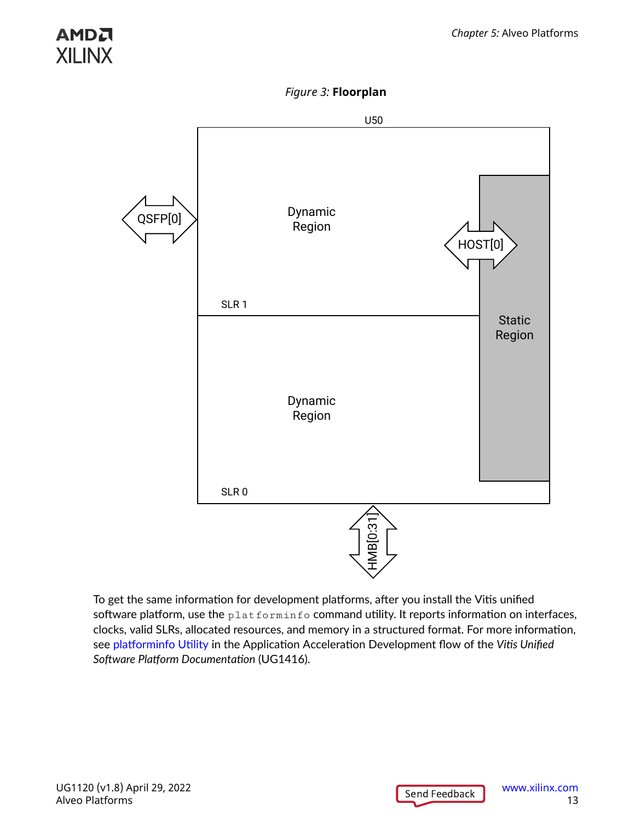*Figure 3:* **Floorplan**



To get the same information for development platforms, after you install the Vitis unified software platform, use the  $\text{plate}$  platforminfo command utility. It reports information on interfaces, clocks, valid SLRs, allocated resources, and memory in a structured format. For more information, see [platforminfo](https://docs.xilinx.com/access/sources/dita/topic?ft:locale=en-US&dita:id=wfa1542666187253) Utility in the Application Acceleration Development flow of the *Vitis Unified Software Platform Documentation* (UG1416).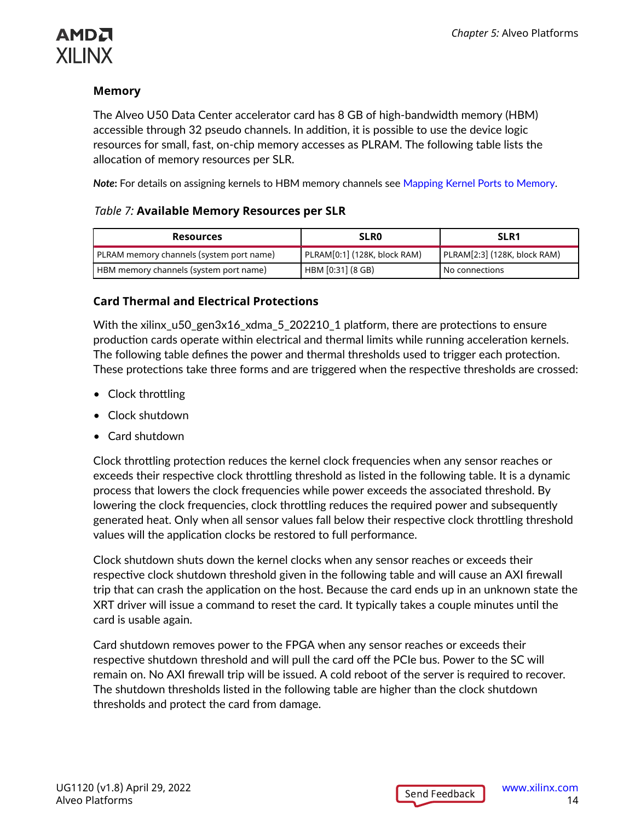### АМDД **XILINX**

#### **Memory**

The Alveo U50 Data Center accelerator card has 8 GB of high-bandwidth memory (HBM) accessible through 32 pseudo channels. In addition, it is possible to use the device logic resources for small, fast, on-chip memory accesses as PLRAM. The following table lists the allocation of memory resources per SLR.

*Note***:** For details on assigning kernels to HBM memory channels see [Mapping Kernel Ports to Memory](https://docs.xilinx.com/r/en-US/ug1393-vitis-application-acceleration/Mapping-Kernel-Ports-to-Memory).

#### *Table 7:* **Available Memory Resources per SLR**

| <b>Resources</b>                         | <b>SLRO</b>                  | SLR <sub>1</sub>             |
|------------------------------------------|------------------------------|------------------------------|
| PLRAM memory channels (system port name) | PLRAM[0:1] (128K, block RAM) | PLRAM[2:3] (128K, block RAM) |
| HBM memory channels (system port name)   | HBM [0:31] (8 GB)            | l No connections             |

#### **Card Thermal and Electrical Protections**

With the xilinx\_u50\_gen3x16\_xdma\_5\_202210\_1 platform, there are protections to ensure production cards operate within electrical and thermal limits while running acceleration kernels. The following table defines the power and thermal thresholds used to trigger each protection. These protections take three forms and are triggered when the respective thresholds are crossed:

- Clock throttling
- Clock shutdown
- Card shutdown

Clock throttling protection reduces the kernel clock frequencies when any sensor reaches or exceeds their respective clock throttling threshold as listed in the following table. It is a dynamic process that lowers the clock frequencies while power exceeds the associated threshold. By lowering the clock frequencies, clock throttling reduces the required power and subsequently generated heat. Only when all sensor values fall below their respective clock throttling threshold values will the application clocks be restored to full performance.

Clock shutdown shuts down the kernel clocks when any sensor reaches or exceeds their respective clock shutdown threshold given in the following table and will cause an AXI firewall trip that can crash the application on the host. Because the card ends up in an unknown state the XRT driver will issue a command to reset the card. It typically takes a couple minutes until the card is usable again.

Card shutdown removes power to the FPGA when any sensor reaches or exceeds their respective shutdown threshold and will pull the card off the PCIe bus. Power to the SC will remain on. No AXI firewall trip will be issued. A cold reboot of the server is required to recover. The shutdown thresholds listed in the following table are higher than the clock shutdown thresholds and protect the card from damage.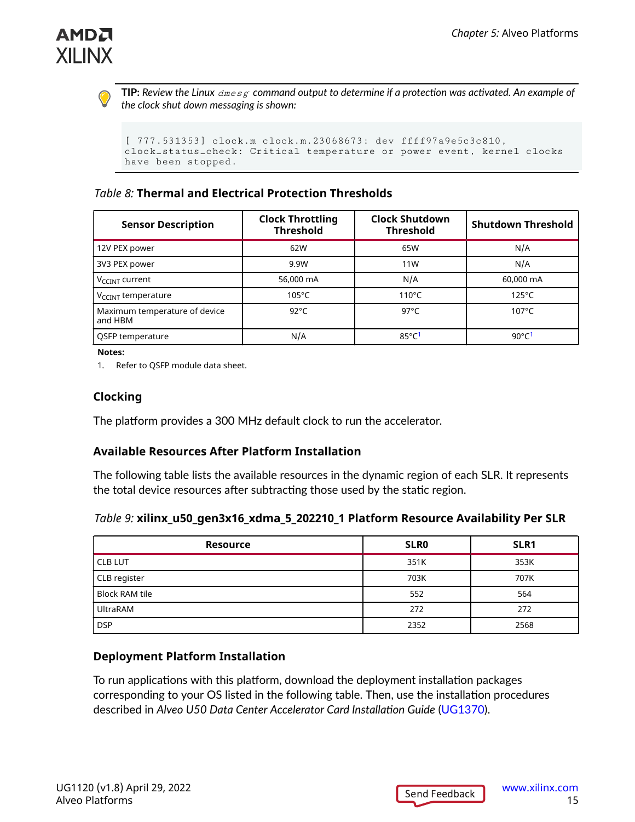

**TIP:** *Review the Linux* dmesg *command output to determine if a protection was activated. An example of the clock shut down messaging is shown:*

```
[ 777.531353] clock.m clock.m.23068673: dev ffff97a9e5c3c810, 
clock_status_check: Critical temperature or power event, kernel clocks 
have been stopped.
```
#### *Table 8:* **Thermal and Electrical Protection Thresholds**

| <b>Sensor Description</b>                | <b>Clock Throttling</b><br><b>Threshold</b> | <b>Clock Shutdown</b><br><b>Threshold</b> | <b>Shutdown Threshold</b>   |
|------------------------------------------|---------------------------------------------|-------------------------------------------|-----------------------------|
| 12V PEX power                            | 62W                                         | 65W                                       | N/A                         |
| 3V3 PEX power                            | 9.9W                                        | 11W                                       | N/A                         |
| V <sub>CCINT</sub> current               | 56,000 mA                                   | N/A                                       | 60,000 mA                   |
| V <sub>CCINT</sub> temperature           | $105^{\circ}$ C                             | $110^{\circ}$ C                           | $125^{\circ}$ C             |
| Maximum temperature of device<br>and HBM | $92^{\circ}$ C                              | $97^{\circ}$ C                            | $107^{\circ}$ C             |
| QSFP temperature                         | N/A                                         | 85 $°C1$                                  | 90 $\degree$ C <sup>1</sup> |

**Notes:**

1. Refer to QSFP module data sheet.

#### **Clocking**

The platform provides a 300 MHz default clock to run the accelerator.

#### **Available Resources After Platform Installation**

The following table lists the available resources in the dynamic region of each SLR. It represents the total device resources after subtracting those used by the static region.

#### *Table 9:* **xilinx\_u50\_gen3x16\_xdma\_5\_202210\_1 Platform Resource Availability Per SLR**

| <b>Resource</b>       | <b>SLRO</b> | SLR1 |
|-----------------------|-------------|------|
| <b>CLB LUT</b>        | 351K        | 353K |
| CLB register          | 703K        | 707K |
| <b>Block RAM tile</b> | 552         | 564  |
| l UltraRAM            | 272         | 272  |
| DSP                   | 2352        | 2568 |

#### **Deployment Platform Installation**

To run applications with this platform, download the deployment installation packages corresponding to your OS listed in the following table. Then, use the installation procedures described in *Alveo U50 Data Center Accelerator Card Installation Guide* ([UG1370](https://www.xilinx.com/cgi-bin/docs/bkdoc?k=accelerator-cards;v=latest;d=ug1370-u50-installation.pdf)).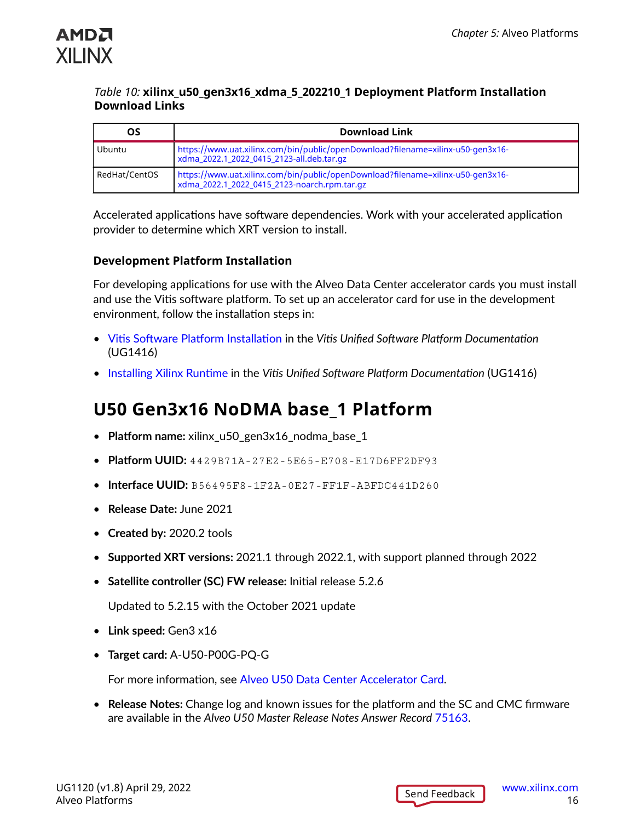<span id="page-15-0"></span>

#### *Table 10:* **xilinx\_u50\_gen3x16\_xdma\_5\_202210\_1 Deployment Platform Installation Download Links**

| OS            | <b>Download Link</b>                                                                                                            |
|---------------|---------------------------------------------------------------------------------------------------------------------------------|
| Ubuntu        | https://www.uat.xilinx.com/bin/public/openDownload?filename=xilinx-u50-gen3x16-<br>xdma_2022.1_2022_0415_2123-all.deb.tar.gz    |
| RedHat/CentOS | https://www.uat.xilinx.com/bin/public/openDownload?filename=xilinx-u50-gen3x16-<br>xdma_2022.1_2022_0415_2123-noarch.rpm.tar.gz |

Accelerated applications have software dependencies. Work with your accelerated application provider to determine which XRT version to install.

#### **Development Platform Installation**

For developing applications for use with the Alveo Data Center accelerator cards you must install and use the Vitis software platform. To set up an accelerator card for use in the development environment, follow the installation steps in:

- Vitis Software Platform [Installation](https://docs.xilinx.com/access/sources/dita/topic?ft:locale=en-US&dita:id=dhg1543555360045) in the *Vitis Unified Software Platform Documentation* (UG1416)
- [Installing Xilinx Runtime](https://docs.xilinx.com/access/sources/dita/topic?ft:locale=en-US&dita:id=pjr1542153622642) in the *Vitis Unified Software Platform Documentation* (UG1416)

### **U50 Gen3x16 NoDMA base\_1 Platform**

- **Platform name:** xilinx\_u50\_gen3x16\_nodma\_base\_1
- **Platform UUID:** 4429B71A-27E2-5E65-E708-E17D6FF2DF93
- **Interface UUID:** B56495F8-1F2A-0E27-FF1F-ABFDC441D260
- **Release Date:** June 2021
- **Created by:** 2020.2 tools
- **Supported XRT versions:** 2021.1 through 2022.1, with support planned through 2022
- **Satellite controller (SC) FW release:** Initial release 5.2.6

Updated to 5.2.15 with the October 2021 update

- **Link speed:** Gen3 x16
- **Target card:** A-U50-P00G-PQ-G

For more information, see [Alveo U50 Data Center Accelerator Card](https://www.xilinx.com/products/boards-and-kits/alveo/u50.html).

• **Release Notes:** Change log and known issues for the platform and the SC and CMC firmware are available in the *Alveo U50 Master Release Notes Answer Record* [75163](https://www.xilinx.com/support/answers/75163.html).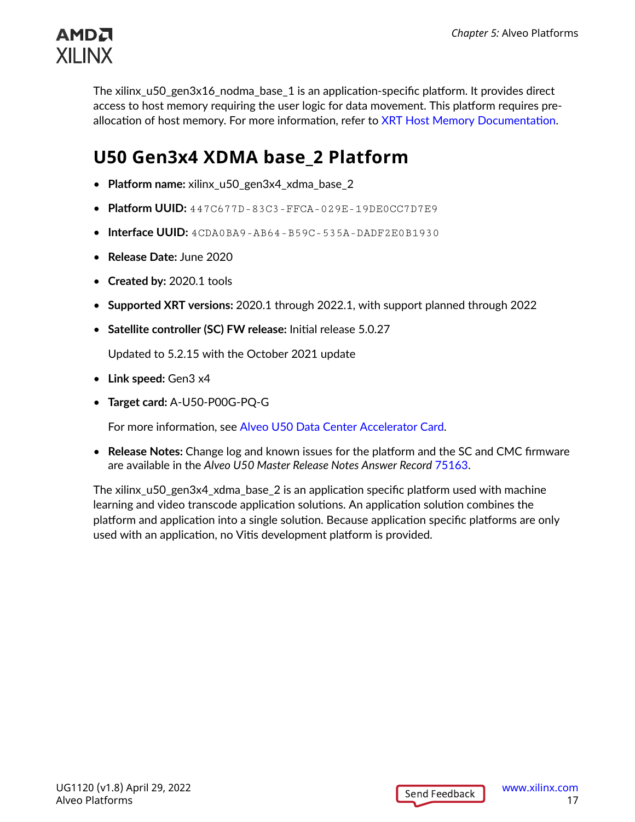<span id="page-16-0"></span>

The xilinx\_u50\_gen3x16\_nodma\_base\_1 is an application-specific platform. It provides direct access to host memory requiring the user logic for data movement. This platform requires preallocation of host memory. For more information, refer to [XRT Host Memory Documentation](https://xilinx.github.io/XRT/master/html/hm.html).

### **U50 Gen3x4 XDMA base\_2 Platform**

- **Platform name:** xilinx\_u50\_gen3x4\_xdma\_base\_2
- **Platform UUID:** 447C677D-83C3-FFCA-029E-19DE0CC7D7E9
- **Interface UUID:** 4CDA0BA9-AB64-B59C-535A-DADF2E0B1930
- **Release Date:** June 2020
- **Created by:** 2020.1 tools
- **Supported XRT versions:** 2020.1 through 2022.1, with support planned through 2022
- **Satellite controller (SC) FW release:** Initial release 5.0.27

Updated to 5.2.15 with the October 2021 update

- **Link speed:** Gen3 x4
- **Target card:** A-U50-P00G-PQ-G

For more information, see [Alveo U50 Data Center Accelerator Card](https://www.xilinx.com/products/boards-and-kits/alveo/u50.html).

• **Release Notes:** Change log and known issues for the platform and the SC and CMC firmware are available in the *Alveo U50 Master Release Notes Answer Record* [75163](https://www.xilinx.com/support/answers/75163.html).

The xilinx\_u50\_gen3x4\_xdma\_base\_2 is an application specific platform used with machine learning and video transcode application solutions. An application solution combines the platform and application into a single solution. Because application specific platforms are only used with an application, no Vitis development platform is provided.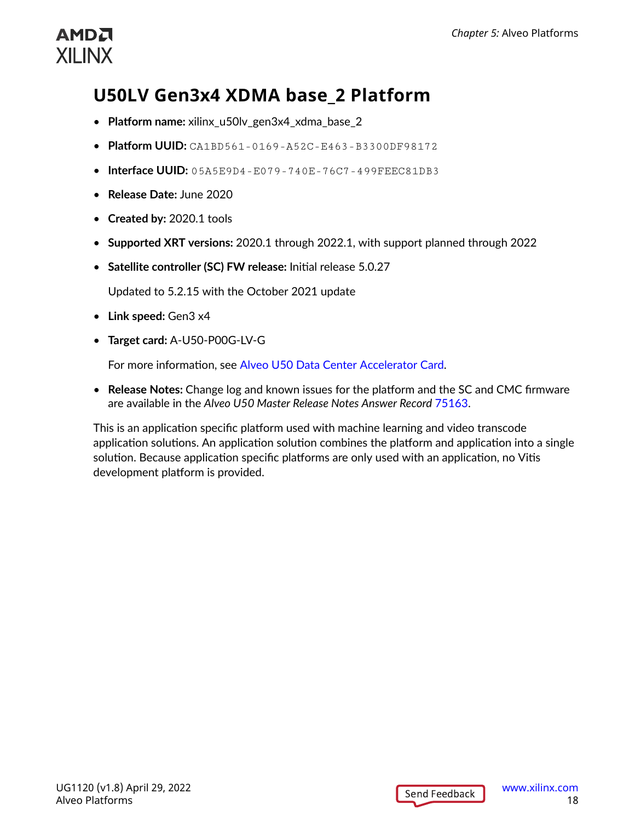## <span id="page-17-0"></span>**U50LV Gen3x4 XDMA base\_2 Platform**

- **Platform name:** xilinx\_u50lv\_gen3x4\_xdma\_base\_2
- **Platform UUID:** CA1BD561-0169-A52C-E463-B3300DF98172
- **Interface UUID:** 05A5E9D4-E079-740E-76C7-499FEEC81DB3
- **Release Date:** June 2020
- **Created by:** 2020.1 tools
- **Supported XRT versions:** 2020.1 through 2022.1, with support planned through 2022
- **Satellite controller (SC) FW release:** Initial release 5.0.27

Updated to 5.2.15 with the October 2021 update

- **Link speed:** Gen3 x4
- **Target card:** A-U50-P00G-LV-G

For more information, see [Alveo U50 Data Center Accelerator Card](https://www.xilinx.com/products/boards-and-kits/alveo/u50.html).

• **Release Notes:** Change log and known issues for the platform and the SC and CMC firmware are available in the *Alveo U50 Master Release Notes Answer Record* [75163](https://www.xilinx.com/support/answers/75163.html).

This is an application specific platform used with machine learning and video transcode application solutions. An application solution combines the platform and application into a single solution. Because application specific platforms are only used with an application, no Vitis development platform is provided.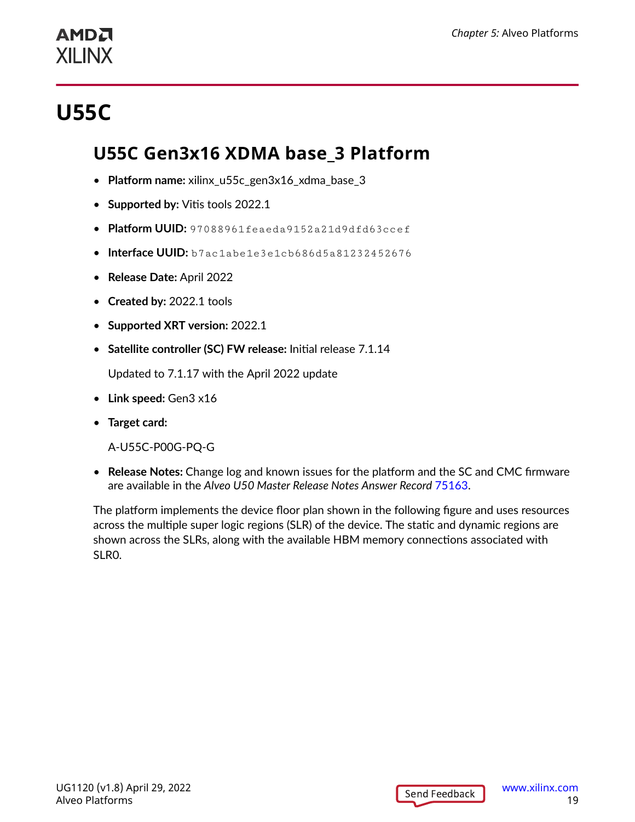# <span id="page-18-0"></span>**U55C**

### **U55C Gen3x16 XDMA base\_3 Platform**

- **Platform name:** xilinx\_u55c\_gen3x16\_xdma\_base\_3
- **Supported by:** Vitis tools 2022.1
- **Platform UUID:** 97088961feaeda9152a21d9dfd63ccef
- **Interface UUID:** b7ac1abe1e3e1cb686d5a81232452676
- **Release Date:** April 2022
- **Created by:** 2022.1 tools
- **Supported XRT version:** 2022.1
- **Satellite controller (SC) FW release:** Initial release 7.1.14

Updated to 7.1.17 with the April 2022 update

- **Link speed:** Gen3 x16
- **Target card:**

A-U55C-P00G-PQ-G

• **Release Notes:** Change log and known issues for the platform and the SC and CMC firmware are available in the *Alveo U50 Master Release Notes Answer Record* [75163](https://www.xilinx.com/support/answers/75163.html).

The platform implements the device floor plan shown in the following figure and uses resources across the multiple super logic regions (SLR) of the device. The static and dynamic regions are shown across the SLRs, along with the available HBM memory connections associated with SLR0.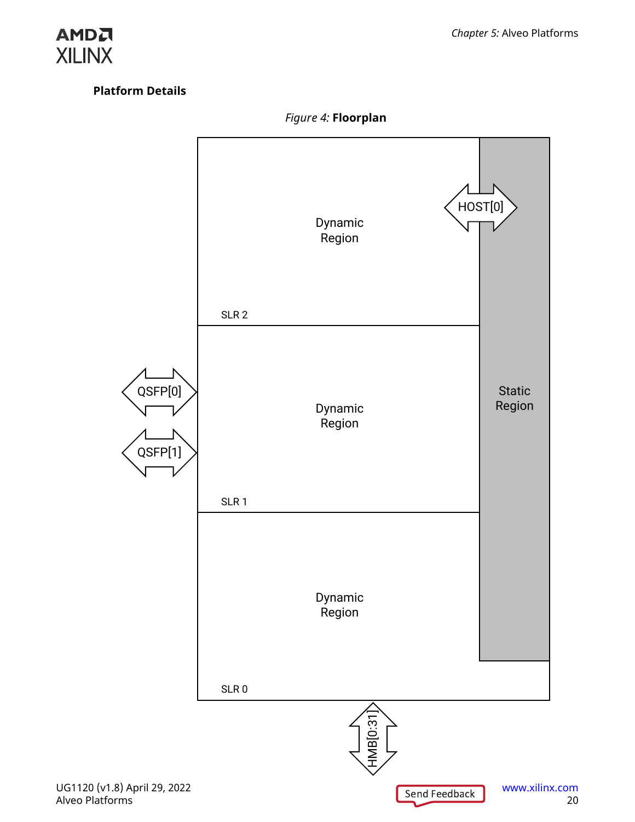#### **Platform Details**



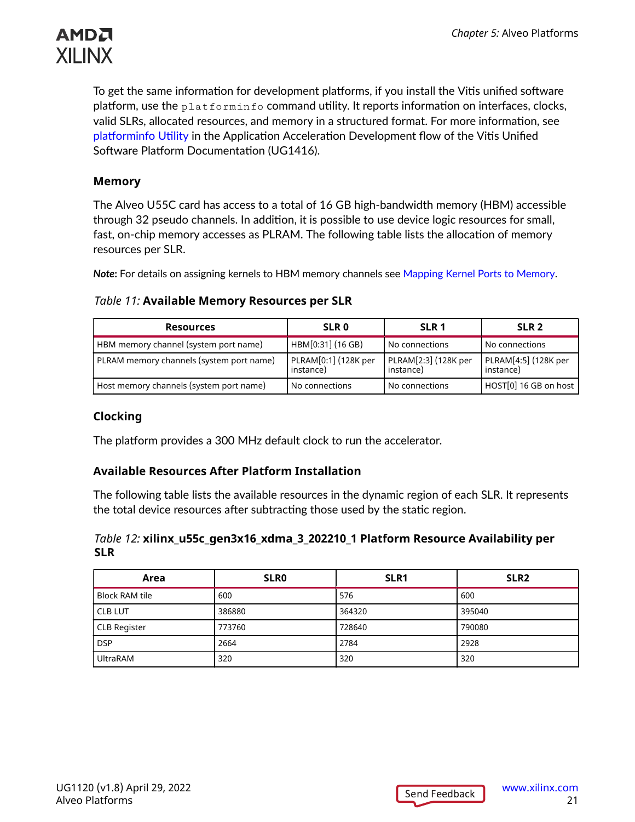

To get the same information for development platforms, if you install the Vitis unified software platform, use the  $\text{plate}$   $\text{pattern}$  o command utility. It reports information on interfaces, clocks, valid SLRs, allocated resources, and memory in a structured format. For more information, see [platforminfo](https://docs.xilinx.com/r/en-US/ug1393-vitis-application-acceleration/platforminfo-Utility) Utility in the Application Acceleration Development flow of the Vitis Unified Software Platform Documentation (UG1416).

#### **Memory**

The Alveo U55C card has access to a total of 16 GB high-bandwidth memory (HBM) accessible through 32 pseudo channels. In addition, it is possible to use device logic resources for small, fast, on-chip memory accesses as PLRAM. The following table lists the allocation of memory resources per SLR.

*Note***:** For details on assigning kernels to HBM memory channels see [Mapping Kernel Ports to Memory](https://docs.xilinx.com/r/en-US/ug1393-vitis-application-acceleration/Mapping-Kernel-Ports-to-Memory).

#### *Table 11:* **Available Memory Resources per SLR**

| <b>Resources</b>                         | <b>SLR 0</b>                      | SLR <sub>1</sub>                  | SLR <sub>2</sub>                  |
|------------------------------------------|-----------------------------------|-----------------------------------|-----------------------------------|
| HBM memory channel (system port name)    | HBM[0:31] (16 GB)                 | No connections                    | No connections                    |
| PLRAM memory channels (system port name) | PLRAM[0:1] (128K per<br>instance) | PLRAM[2:3] (128K per<br>instance) | PLRAM[4:5] (128K per<br>instance) |
| Host memory channels (system port name)  | No connections                    | No connections                    | HOST[0] 16 GB on host             |

#### **Clocking**

The platform provides a 300 MHz default clock to run the accelerator.

#### **Available Resources After Platform Installation**

The following table lists the available resources in the dynamic region of each SLR. It represents the total device resources after subtracting those used by the static region.

#### *Table 12:* **xilinx\_u55c\_gen3x16\_xdma\_3\_202210\_1 Platform Resource Availability per SLR**

| Area                  | <b>SLRO</b> | SLR <sub>1</sub> | SLR <sub>2</sub> |
|-----------------------|-------------|------------------|------------------|
| <b>Block RAM tile</b> | 600         | 576              | 600              |
| <b>CLB LUT</b>        | 386880      | 364320           | 395040           |
| <b>CLB Register</b>   | 773760      | 728640           | 790080           |
| <b>DSP</b>            | 2664        | 2784             | 2928             |
| UltraRAM              | 320         | 320              | 320              |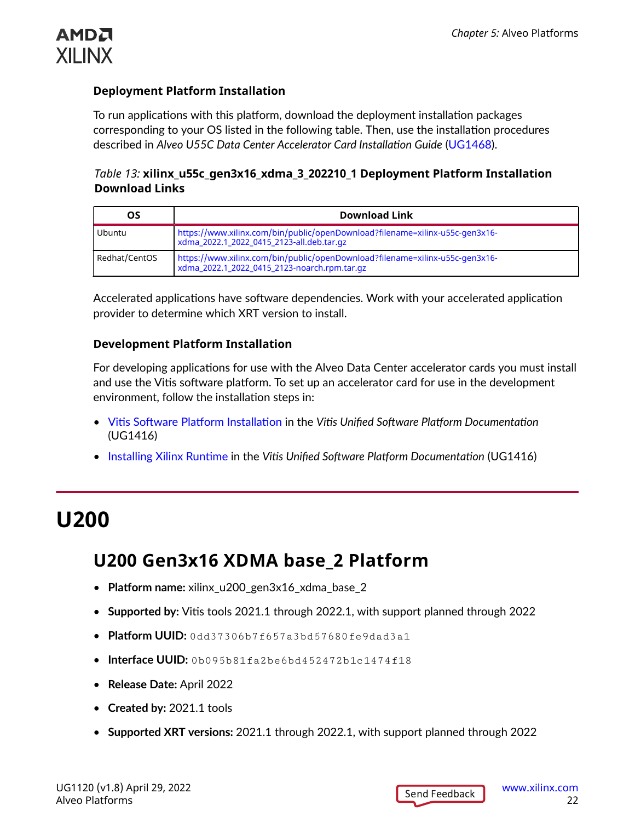<span id="page-21-0"></span>

#### **Deployment Platform Installation**

To run applications with this platform, download the deployment installation packages corresponding to your OS listed in the following table. Then, use the installation procedures described in *Alveo U55C Data Center Accelerator Card Installation Guide* [\(UG1468](https://docs.xilinx.com/access/sources/ud/document?url=UG1468-smartlynq-cable&ft:locale=en-US)).

#### *Table 13:* **xilinx\_u55c\_gen3x16\_xdma\_3\_202210\_1 Deployment Platform Installation Download Links**

| OS            | <b>Download Link</b>                                                                                                         |
|---------------|------------------------------------------------------------------------------------------------------------------------------|
| Ubuntu        | https://www.xilinx.com/bin/public/openDownload?filename=xilinx-u55c-gen3x16-<br>xdma_2022.1_2022_0415_2123-all.deb.tar.gz    |
| Redhat/CentOS | https://www.xilinx.com/bin/public/openDownload?filename=xilinx-u55c-gen3x16-<br>xdma_2022.1_2022_0415_2123-noarch.rpm.tar.gz |

Accelerated applications have software dependencies. Work with your accelerated application provider to determine which XRT version to install.

#### **Development Platform Installation**

For developing applications for use with the Alveo Data Center accelerator cards you must install and use the Vitis software platform. To set up an accelerator card for use in the development environment, follow the installation steps in:

- Vitis Software Platform [Installation](https://docs.xilinx.com/access/sources/dita/topic?ft:locale=en-US&dita:id=dhg1543555360045) in the *Vitis Unified Software Platform Documentation* (UG1416)
- [Installing Xilinx Runtime](https://docs.xilinx.com/access/sources/dita/topic?ft:locale=en-US&dita:id=pjr1542153622642) in the *Vitis Unified Software Platform Documentation* (UG1416)

## **U200**

### **U200 Gen3x16 XDMA base\_2 Platform**

- **Platform name:** xilinx\_u200\_gen3x16\_xdma\_base\_2
- **Supported by:** Vitis tools 2021.1 through 2022.1, with support planned through 2022
- **Platform UUID:** 0dd37306b7f657a3bd57680fe9dad3a1
- **Interface UUID:** 0b095b81fa2be6bd452472b1c1474f18
- **Release Date:** April 2022
- **Created by:** 2021.1 tools
- **Supported XRT versions:** 2021.1 through 2022.1, with support planned through 2022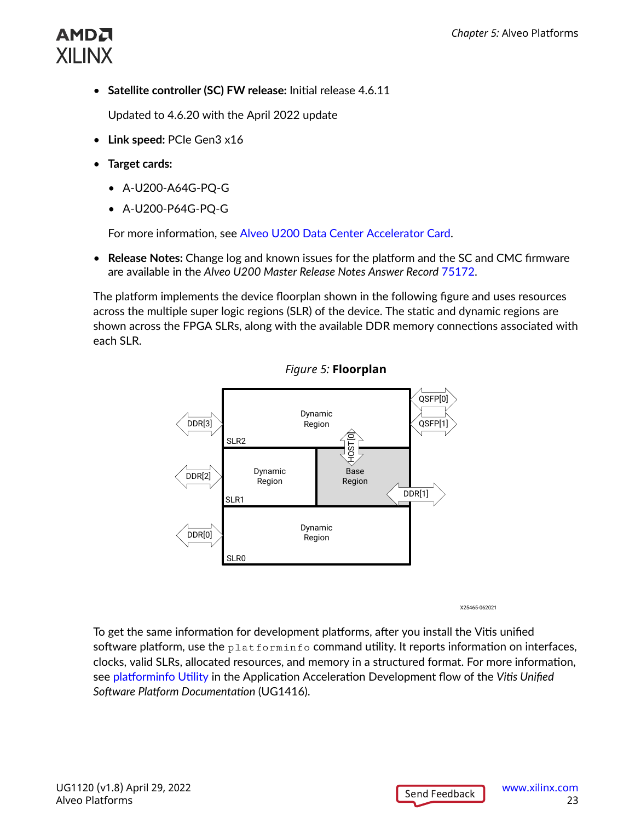• **Satellite controller (SC) FW release:** Initial release 4.6.11

Updated to 4.6.20 with the April 2022 update

- **Link speed:** PCIe Gen3 x16
- **Target cards:** 
	- A-U200-A64G-PQ-G
	- A-U200-P64G-PQ-G

For more information, see [Alveo U200 Data Center Accelerator Card.](https://www.xilinx.com/products/boards-and-kits/alveo/u200.html)

• **Release Notes:** Change log and known issues for the platform and the SC and CMC firmware are available in the *Alveo U200 Master Release Notes Answer Record* [75172.](https://www.xilinx.com/support/answers/75172.html)

The platform implements the device floorplan shown in the following figure and uses resources across the multiple super logic regions (SLR) of the device. The static and dynamic regions are shown across the FPGA SLRs, along with the available DDR memory connections associated with each SLR.





X25465-062021

To get the same information for development platforms, after you install the Vitis unified software platform, use the  $\text{plate from information}$  command utility. It reports information on interfaces, clocks, valid SLRs, allocated resources, and memory in a structured format. For more information, see [platforminfo](https://docs.xilinx.com/access/sources/dita/topic?ft:locale=en-US&dita:id=wfa1542666187253) Utility in the Application Acceleration Development flow of the *Vitis Unified Software Platform Documentation* (UG1416).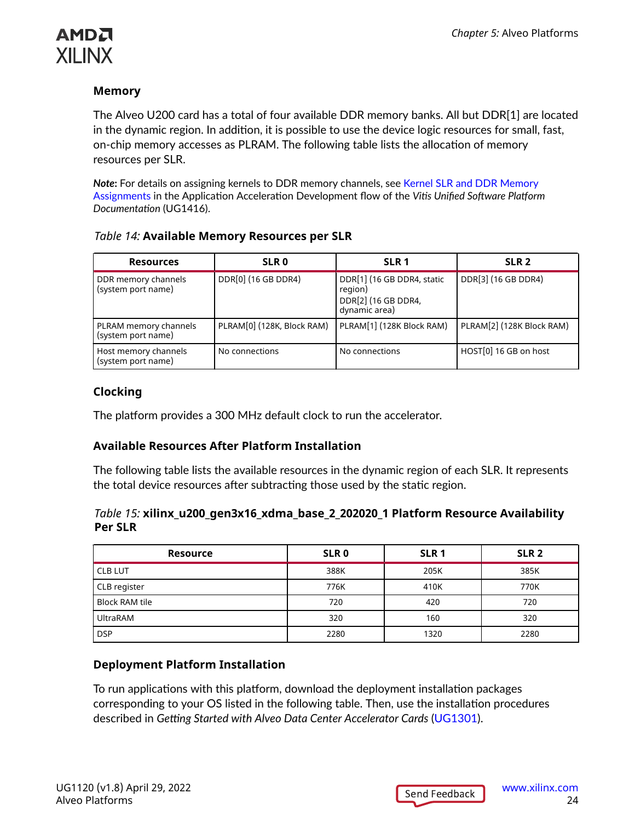### АМDД **XILINX**

#### **Memory**

The Alveo U200 card has a total of four available DDR memory banks. All but DDR[1] are located in the dynamic region. In addition, it is possible to use the device logic resources for small, fast, on-chip memory accesses as PLRAM. The following table lists the allocation of memory resources per SLR.

*Note***:** For details on assigning kernels to DDR memory channels, see [Kernel SLR and DDR Memory](https://docs.xilinx.com/access/sources/dita/topic?ft:locale=en-US&dita:id=phm1523550940155) [Assignments](https://docs.xilinx.com/access/sources/dita/topic?ft:locale=en-US&dita:id=phm1523550940155) in the Application Acceleration Development flow of the *Vitis Unified Software Platform Documentation* (UG1416).

| <b>Resources</b>                            | SLR <sub>0</sub>           | SLR <sub>1</sub>                                                              | SLR <sub>2</sub>          |
|---------------------------------------------|----------------------------|-------------------------------------------------------------------------------|---------------------------|
| DDR memory channels<br>(system port name)   | DDR[0] (16 GB DDR4)        | DDR[1] (16 GB DDR4, static<br>region)<br>DDR[2] (16 GB DDR4,<br>dynamic area) | DDR[3] (16 GB DDR4)       |
| PLRAM memory channels<br>(system port name) | PLRAM[0] (128K, Block RAM) | PLRAM[1] (128K Block RAM)                                                     | PLRAM[2] (128K Block RAM) |
| Host memory channels<br>(system port name)  | No connections             | No connections                                                                | HOST[0] 16 GB on host     |

#### **Clocking**

The platform provides a 300 MHz default clock to run the accelerator.

#### **Available Resources After Platform Installation**

The following table lists the available resources in the dynamic region of each SLR. It represents the total device resources after subtracting those used by the static region.

#### *Table 15:* **xilinx\_u200\_gen3x16\_xdma\_base\_2\_202020\_1 Platform Resource Availability Per SLR**

| <b>Resource</b>       | SLR <sub>0</sub> | SLR <sub>1</sub> | SLR <sub>2</sub> |
|-----------------------|------------------|------------------|------------------|
| <b>CLB LUT</b>        | 388K             | 205K             | 385K             |
| CLB register          | 776K             | 410K             | 770K             |
| <b>Block RAM tile</b> | 720              | 420              | 720              |
| <b>UltraRAM</b>       | 320              | 160              | 320              |
| <b>DSP</b>            | 2280             | 1320             | 2280             |

#### **Deployment Platform Installation**

To run applications with this platform, download the deployment installation packages corresponding to your OS listed in the following table. Then, use the installation procedures described in *Getting Started with Alveo Data Center Accelerator Cards* ([UG1301\)](https://www.xilinx.com/cgi-bin/docs/bkdoc?v=latest;k=accelerator-cards;d=ug1301-getting-started-guide-alveo-accelerator-cards.pdf).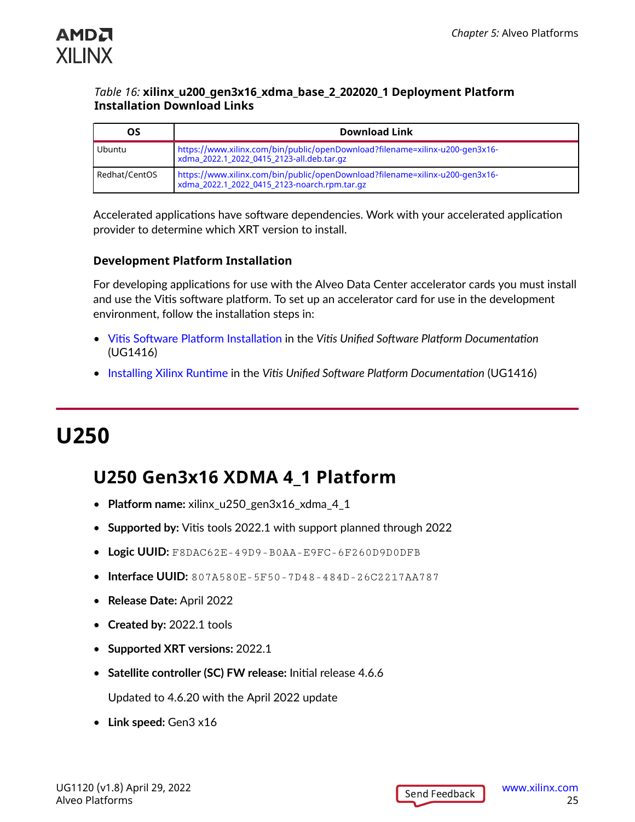<span id="page-24-0"></span>

#### *Table 16:* **xilinx\_u200\_gen3x16\_xdma\_base\_2\_202020\_1 Deployment Platform Installation Download Links**

| OS            | <b>Download Link</b>                                                                                                         |
|---------------|------------------------------------------------------------------------------------------------------------------------------|
| Ubuntu        | https://www.xilinx.com/bin/public/openDownload?filename=xilinx-u200-gen3x16-<br>xdma_2022.1_2022_0415_2123-all.deb.tar.gz    |
| Redhat/CentOS | https://www.xilinx.com/bin/public/openDownload?filename=xilinx-u200-gen3x16-<br>xdma_2022.1_2022_0415_2123-noarch.rpm.tar.gz |

Accelerated applications have software dependencies. Work with your accelerated application provider to determine which XRT version to install.

#### **Development Platform Installation**

For developing applications for use with the Alveo Data Center accelerator cards you must install and use the Vitis software platform. To set up an accelerator card for use in the development environment, follow the installation steps in:

- Vitis Software Platform [Installation](https://docs.xilinx.com/access/sources/dita/topic?ft:locale=en-US&dita:id=dhg1543555360045) in the *Vitis Unified Software Platform Documentation* (UG1416)
- [Installing Xilinx Runtime](https://docs.xilinx.com/access/sources/dita/topic?ft:locale=en-US&dita:id=pjr1542153622642) in the *Vitis Unified Software Platform Documentation* (UG1416)

## **U250**

### **U250 Gen3x16 XDMA 4\_1 Platform**

- **Platform name:** xilinx\_u250\_gen3x16\_xdma\_4\_1
- **Supported by:** Vitis tools 2022.1 with support planned through 2022
- **Logic UUID:** F8DAC62E-49D9-B0AA-E9FC-6F260D9D0DFB
- **Interface UUID:** 807A580E-5F50-7D48-484D-26C2217AA787
- **Release Date:** April 2022
- **Created by:** 2022.1 tools
- **Supported XRT versions:** 2022.1
- **Satellite controller (SC) FW release:** Initial release 4.6.6

Updated to 4.6.20 with the April 2022 update

• **Link speed:** Gen3 x16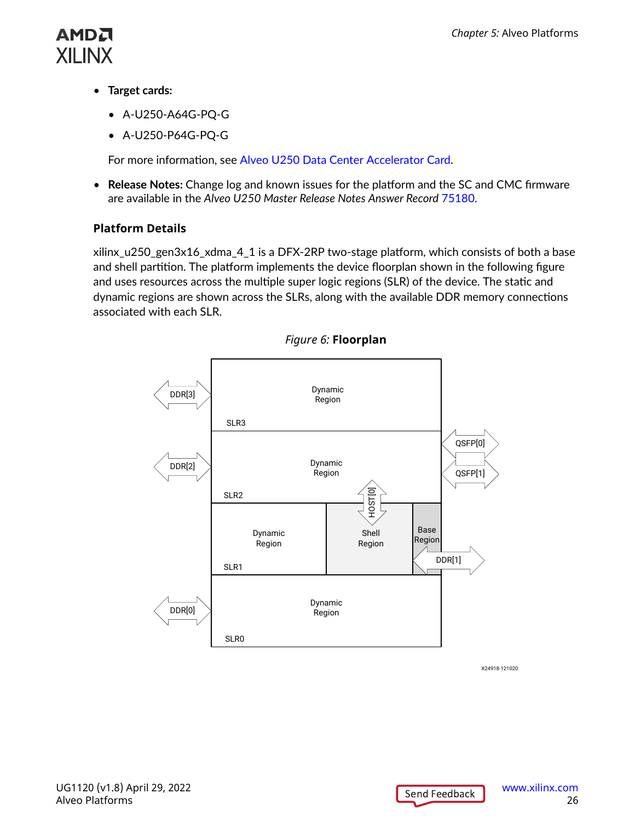

- **Target cards:** 
	- A-U250-A64G-PQ-G
	- A-U250-P64G-PQ-G

For more information, see [Alveo U250 Data Center Accelerator Card.](https://www.xilinx.com/products/boards-and-kits/alveo/u250.html)

• **Release Notes:** Change log and known issues for the platform and the SC and CMC firmware are available in the *Alveo U250 Master Release Notes Answer Record* [75180.](https://www.xilinx.com/support/answers/75180.html)

#### **Platform Details**

xilinx\_u250\_gen3x16\_xdma\_4\_1 is a DFX-2RP two-stage platform, which consists of both a base and shell partition. The platform implements the device floorplan shown in the following figure and uses resources across the multiple super logic regions (SLR) of the device. The static and dynamic regions are shown across the SLRs, along with the available DDR memory connections associated with each SLR.



*Figure 6:* **Floorplan**

X24918-121020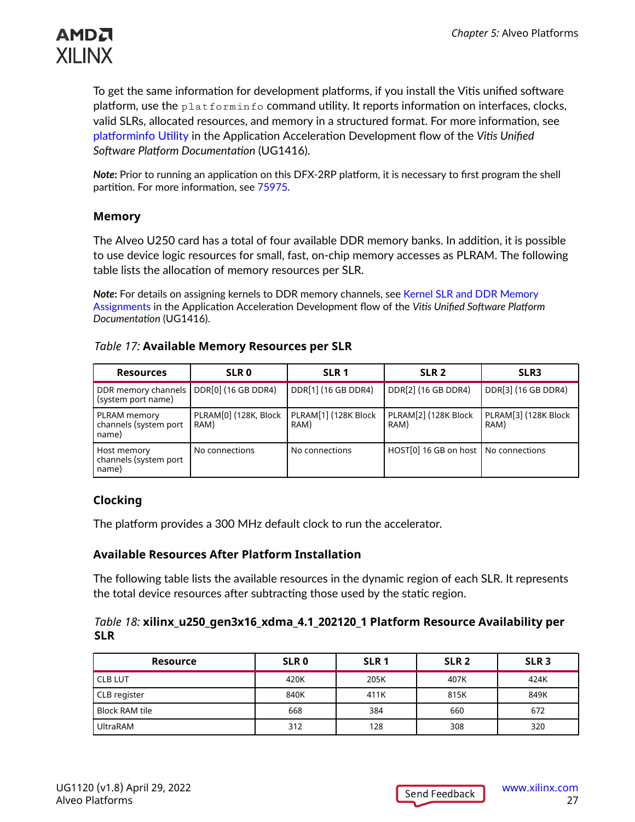

To get the same information for development platforms, if you install the Vitis unified software platform, use the platforminfo command utility. It reports information on interfaces, clocks, valid SLRs, allocated resources, and memory in a structured format. For more information, see [platforminfo](https://docs.xilinx.com/access/sources/dita/topic?ft:locale=en-US&dita:id=wfa1542666187253) Utility in the Application Acceleration Development flow of the *Vitis Unified Software Platform Documentation* (UG1416).

*Note***:** Prior to running an application on this DFX-2RP platform, it is necessary to first program the shell partition. For more information, see [75975](https://www.xilinx.com/support/answers/75975.html).

#### **Memory**

The Alveo U250 card has a total of four available DDR memory banks. In addition, it is possible to use device logic resources for small, fast, on-chip memory accesses as PLRAM. The following table lists the allocation of memory resources per SLR.

*Note***:** For details on assigning kernels to DDR memory channels, see [Kernel SLR and DDR Memory](https://docs.xilinx.com/access/sources/dita/topic?ft:locale=en-US&dita:id=phm1523550940155) [Assignments](https://docs.xilinx.com/access/sources/dita/topic?ft:locale=en-US&dita:id=phm1523550940155) in the Application Acceleration Development flow of the *Vitis Unified Software Platform Documentation* (UG1416).

| <b>Resources</b>                               | <b>SLR0</b>                   | SLR <sub>1</sub>             | SLR <sub>2</sub>             | SLR <sub>3</sub>             |
|------------------------------------------------|-------------------------------|------------------------------|------------------------------|------------------------------|
| DDR memory channels<br>(system port name)      | DDR[0] (16 GB DDR4)           | DDR[1] (16 GB DDR4)          | DDR[2] (16 GB DDR4)          | DDR[3] (16 GB DDR4)          |
| PLRAM memory<br>channels (system port<br>name) | PLRAM[0] (128K, Block<br>RAM) | PLRAM[1] (128K Block<br>RAM) | PLRAM[2] (128K Block<br>RAM) | PLRAM[3] (128K Block<br>RAM) |
| Host memory<br>channels (system port<br>name)  | No connections                | No connections               | HOST[0] 16 GB on host        | No connections               |

#### *Table 17:* **Available Memory Resources per SLR**

#### **Clocking**

The platform provides a 300 MHz default clock to run the accelerator.

#### **Available Resources After Platform Installation**

The following table lists the available resources in the dynamic region of each SLR. It represents the total device resources after subtracting those used by the static region.

#### *Table 18:* **xilinx\_u250\_gen3x16\_xdma\_4.1\_202120\_1 Platform Resource Availability per SLR**

| <b>Resource</b> | SLR <sub>0</sub> | SLR <sub>1</sub> | SLR <sub>2</sub> | SLR <sub>3</sub> |
|-----------------|------------------|------------------|------------------|------------------|
| <b>CLB LUT</b>  | 420K             | 205K             | 407K             | 424K             |
| CLB register    | 840K             | 411K             | 815K             | 849K             |
| Block RAM tile  | 668              | 384              | 660              | 672              |
| <b>UltraRAM</b> | 312              | 128              | 308              | 320              |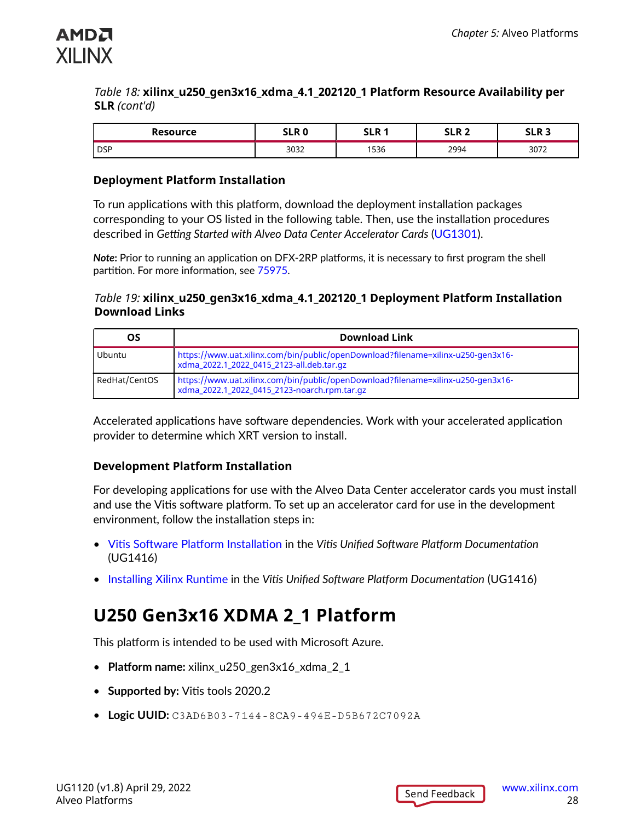<span id="page-27-0"></span>

#### *Table 18:* **xilinx\_u250\_gen3x16\_xdma\_4.1\_202120\_1 Platform Resource Availability per SLR** *(cont'd)*

| <b>Resource</b> | CI D N<br>JLR U | CI D 4 | ר ם<br>JLN 4 | CI D 3<br>JLN J |
|-----------------|-----------------|--------|--------------|-----------------|
| l DSP           | 3032            | 536    | 2994         | 3072            |

#### **Deployment Platform Installation**

To run applications with this platform, download the deployment installation packages corresponding to your OS listed in the following table. Then, use the installation procedures described in *Getting Started with Alveo Data Center Accelerator Cards* ([UG1301\)](https://www.xilinx.com/cgi-bin/docs/bkdoc?v=latest;k=accelerator-cards;d=ug1301-getting-started-guide-alveo-accelerator-cards.pdf).

*Note***:** Prior to running an application on DFX-2RP platforms, it is necessary to first program the shell partition. For more information, see [75975](https://www.xilinx.com/support/answers/75975.html).

#### *Table 19:* **xilinx\_u250\_gen3x16\_xdma\_4.1\_202120\_1 Deployment Platform Installation Download Links**

| ΟS            | <b>Download Link</b>                                                                                                             |
|---------------|----------------------------------------------------------------------------------------------------------------------------------|
| Ubuntu        | https://www.uat.xilinx.com/bin/public/openDownload?filename=xilinx-u250-gen3x16-<br>xdma_2022.1_2022_0415_2123-all.deb.tar.gz    |
| RedHat/CentOS | https://www.uat.xilinx.com/bin/public/openDownload?filename=xilinx-u250-gen3x16-<br>xdma_2022.1_2022_0415_2123-noarch.rpm.tar.gz |

Accelerated applications have software dependencies. Work with your accelerated application provider to determine which XRT version to install.

#### **Development Platform Installation**

For developing applications for use with the Alveo Data Center accelerator cards you must install and use the Vitis software platform. To set up an accelerator card for use in the development environment, follow the installation steps in:

- Vitis Software Platform [Installation](https://docs.xilinx.com/access/sources/dita/topic?ft:locale=en-US&dita:id=dhg1543555360045) in the *Vitis Unified Software Platform Documentation* (UG1416)
- [Installing Xilinx Runtime](https://docs.xilinx.com/access/sources/dita/topic?ft:locale=en-US&dita:id=pjr1542153622642) in the *Vitis Unified Software Platform Documentation* (UG1416)

## **U250 Gen3x16 XDMA 2\_1 Platform**

This platform is intended to be used with Microsoft Azure.

- **Platform name:** xilinx\_u250\_gen3x16\_xdma\_2\_1
- **Supported by:** Vitis tools 2020.2
- **Logic UUID:** C3AD6B03-7144-8CA9-494E-D5B672C7092A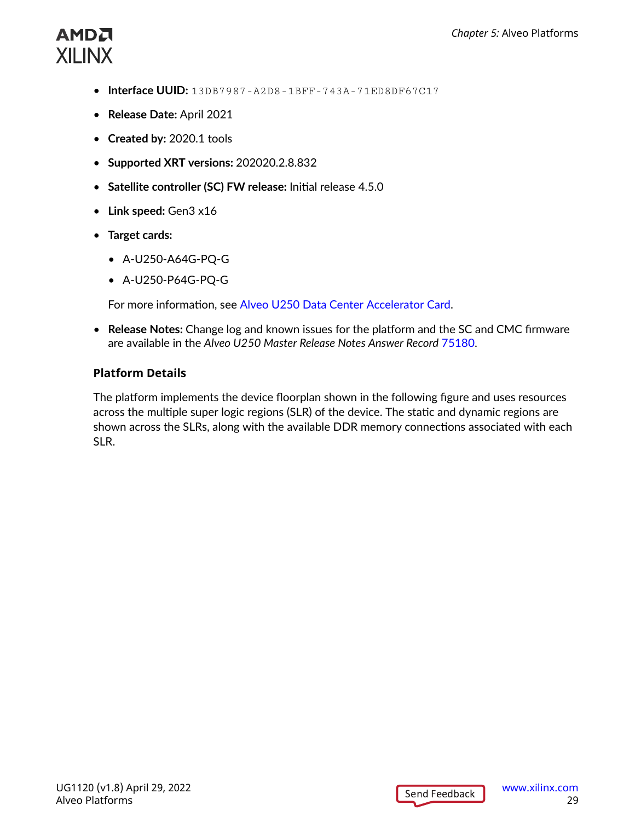- **Interface UUID:** 13DB7987-A2D8-1BFF-743A-71ED8DF67C17
- **Release Date:** April 2021
- **Created by:** 2020.1 tools
- **Supported XRT versions:** 202020.2.8.832
- **Satellite controller (SC) FW release:** Initial release 4.5.0
- **Link speed:** Gen3 x16
- **Target cards:** 
	- A-U250-A64G-PQ-G
	- A-U250-P64G-PQ-G

For more information, see [Alveo U250 Data Center Accelerator Card.](https://www.xilinx.com/products/boards-and-kits/alveo/u250.html)

• **Release Notes:** Change log and known issues for the platform and the SC and CMC firmware are available in the *Alveo U250 Master Release Notes Answer Record* [75180.](https://www.xilinx.com/support/answers/75180.html)

#### **Platform Details**

The platform implements the device floorplan shown in the following figure and uses resources across the multiple super logic regions (SLR) of the device. The static and dynamic regions are shown across the SLRs, along with the available DDR memory connections associated with each SLR.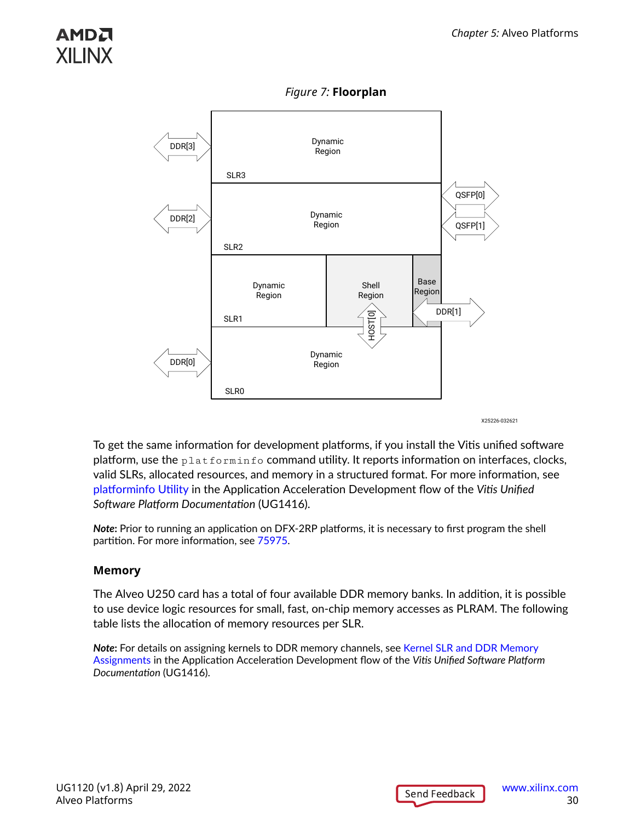

*Figure 7:* **Floorplan**

X25226-032621

To get the same information for development platforms, if you install the Vitis unified software platform, use the  $\text{plate}$   $\text{pattern}$  o command utility. It reports information on interfaces, clocks, valid SLRs, allocated resources, and memory in a structured format. For more information, see [platforminfo](https://docs.xilinx.com/access/sources/dita/topic?ft:locale=en-US&dita:id=wfa1542666187253) Utility in the Application Acceleration Development flow of the *Vitis Unified Software Platform Documentation* (UG1416).

*Note***:** Prior to running an application on DFX-2RP platforms, it is necessary to first program the shell partition. For more information, see [75975](https://www.xilinx.com/support/answers/75975.html).

#### **Memory**

The Alveo U250 card has a total of four available DDR memory banks. In addition, it is possible to use device logic resources for small, fast, on-chip memory accesses as PLRAM. The following table lists the allocation of memory resources per SLR.

*Note***:** For details on assigning kernels to DDR memory channels, see [Kernel SLR and DDR Memory](https://docs.xilinx.com/access/sources/dita/topic?ft:locale=en-US&dita:id=phm1523550940155) [Assignments](https://docs.xilinx.com/access/sources/dita/topic?ft:locale=en-US&dita:id=phm1523550940155) in the Application Acceleration Development flow of the *Vitis Unified Software Platform Documentation* (UG1416).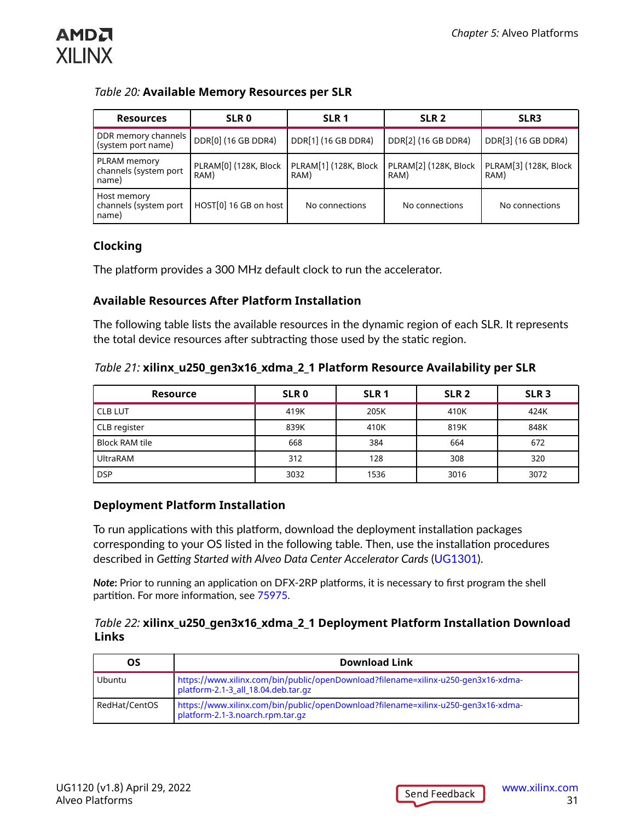

#### *Table 20:* **Available Memory Resources per SLR**

| <b>Resources</b>                               | SLR <sub>0</sub>              | SLR <sub>1</sub>              | SLR <sub>2</sub>              | SLR <sub>3</sub>              |
|------------------------------------------------|-------------------------------|-------------------------------|-------------------------------|-------------------------------|
| DDR memory channels<br>(system port name)      | DDR[0] (16 GB DDR4)           | DDR[1] (16 GB DDR4)           | DDR[2] (16 GB DDR4)           | DDR[3] (16 GB DDR4)           |
| PLRAM memory<br>channels (system port<br>name) | PLRAM[0] (128K, Block<br>RAM) | PLRAM[1] (128K, Block<br>RAM) | PLRAM[2] (128K, Block<br>RAM) | PLRAM[3] (128K, Block<br>RAM) |
| Host memory<br>channels (system port<br>name)  | HOST[0] 16 GB on host         | No connections                | No connections                | No connections                |

#### **Clocking**

The platform provides a 300 MHz default clock to run the accelerator.

#### **Available Resources After Platform Installation**

The following table lists the available resources in the dynamic region of each SLR. It represents the total device resources after subtracting those used by the static region.

#### *Table 21:* **xilinx\_u250\_gen3x16\_xdma\_2\_1 Platform Resource Availability per SLR**

| <b>Resource</b>       | SLR <sub>0</sub> | SLR <sub>1</sub> | SLR <sub>2</sub> | SLR <sub>3</sub> |
|-----------------------|------------------|------------------|------------------|------------------|
| <b>CLB LUT</b>        | 419K             | 205K             | 410K             | 424K             |
| CLB register          | 839K             | 410K             | 819K             | 848K             |
| <b>Block RAM tile</b> | 668              | 384              | 664              | 672              |
| <b>UltraRAM</b>       | 312              | 128              | 308              | 320              |
| <b>DSP</b>            | 3032             | 1536             | 3016             | 3072             |

#### **Deployment Platform Installation**

To run applications with this platform, download the deployment installation packages corresponding to your OS listed in the following table. Then, use the installation procedures described in *Getting Started with Alveo Data Center Accelerator Cards* ([UG1301\)](https://www.xilinx.com/cgi-bin/docs/bkdoc?v=latest;k=accelerator-cards;d=ug1301-getting-started-guide-alveo-accelerator-cards.pdf).

*Note***:** Prior to running an application on DFX-2RP platforms, it is necessary to first program the shell partition. For more information, see [75975](https://www.xilinx.com/support/answers/75975.html).

#### *Table 22:* **xilinx\_u250\_gen3x16\_xdma\_2\_1 Deployment Platform Installation Download Links**

| OS            | <b>Download Link</b>                                                                                                     |
|---------------|--------------------------------------------------------------------------------------------------------------------------|
| Ubuntu        | https://www.xilinx.com/bin/public/openDownload?filename=xilinx-u250-gen3x16-xdma-<br>platform-2.1-3_all_18.04.deb.tar.gz |
| RedHat/CentOS | https://www.xilinx.com/bin/public/openDownload?filename=xilinx-u250-gen3x16-xdma-<br>platform-2.1-3.noarch.rpm.tar.gz    |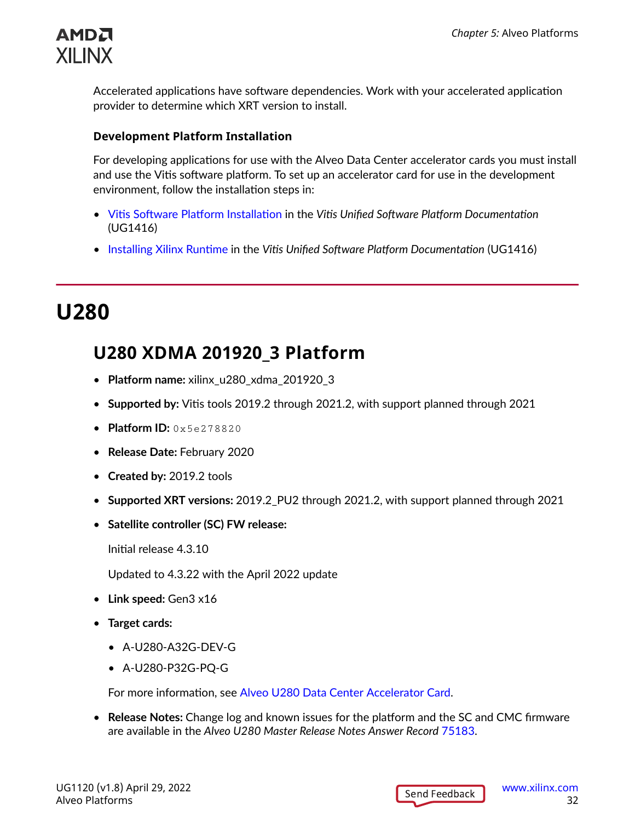<span id="page-31-0"></span>

Accelerated applications have software dependencies. Work with your accelerated application provider to determine which XRT version to install.

#### **Development Platform Installation**

For developing applications for use with the Alveo Data Center accelerator cards you must install and use the Vitis software platform. To set up an accelerator card for use in the development environment, follow the installation steps in:

- Vitis Software Platform [Installation](https://docs.xilinx.com/access/sources/dita/topic?ft:locale=en-US&dita:id=dhg1543555360045) in the *Vitis Unified Software Platform Documentation* (UG1416)
- [Installing Xilinx Runtime](https://docs.xilinx.com/access/sources/dita/topic?ft:locale=en-US&dita:id=pjr1542153622642) in the *Vitis Unified Software Platform Documentation* (UG1416)

## **U280**

### **U280 XDMA 201920\_3 Platform**

- **Platform name:** xilinx\_u280\_xdma\_201920\_3
- **Supported by:** Vitis tools 2019.2 through 2021.2, with support planned through 2021
- **Platform ID:** 0x5e278820
- **Release Date:** February 2020
- **Created by:** 2019.2 tools
- **Supported XRT versions:** 2019.2\_PU2 through 2021.2, with support planned through 2021
- **Satellite controller (SC) FW release:**

Initial release 4.3.10

Updated to 4.3.22 with the April 2022 update

- **Link speed:** Gen3 x16
- **Target cards:** 
	- A-U280-A32G-DEV-G
	- A-U280-P32G-PQ-G

For more information, see [Alveo U280 Data Center Accelerator Card.](https://www.xilinx.com/products/boards-and-kits/alveo/u280.html)

• **Release Notes:** Change log and known issues for the platform and the SC and CMC firmware are available in the *Alveo U280 Master Release Notes Answer Record* [75183.](https://www.xilinx.com/support/answers/75183.html)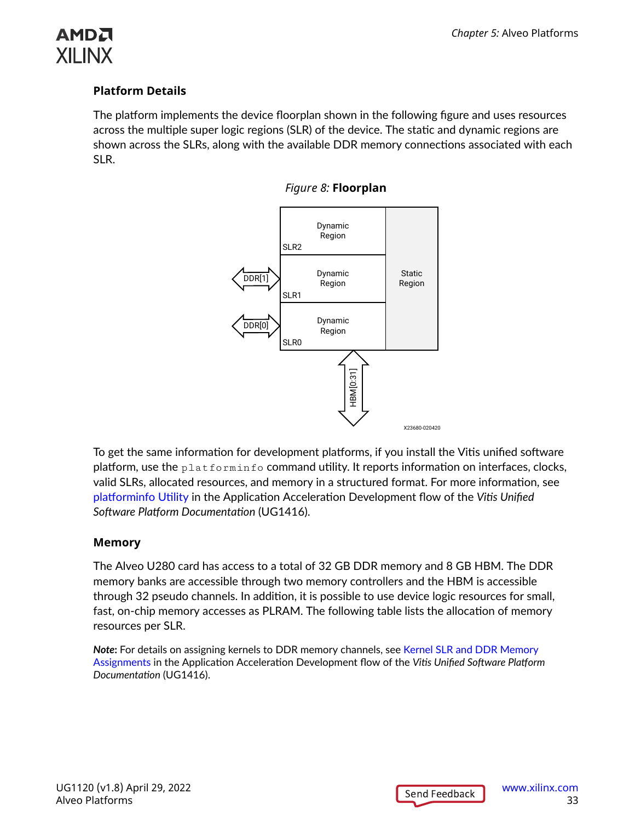

#### **Platform Details**

The platform implements the device floorplan shown in the following figure and uses resources across the multiple super logic regions (SLR) of the device. The static and dynamic regions are shown across the SLRs, along with the available DDR memory connections associated with each SLR.





To get the same information for development platforms, if you install the Vitis unified software platform, use the  $\text{plate}$   $\text{pattern}$  o command utility. It reports information on interfaces, clocks, valid SLRs, allocated resources, and memory in a structured format. For more information, see [platforminfo](https://docs.xilinx.com/access/sources/dita/topic?ft:locale=en-US&dita:id=wfa1542666187253) Utility in the Application Acceleration Development flow of the *Vitis Unified Software Platform Documentation* (UG1416).

#### **Memory**

The Alveo U280 card has access to a total of 32 GB DDR memory and 8 GB HBM. The DDR memory banks are accessible through two memory controllers and the HBM is accessible through 32 pseudo channels. In addition, it is possible to use device logic resources for small, fast, on-chip memory accesses as PLRAM. The following table lists the allocation of memory resources per SLR.

*Note***:** For details on assigning kernels to DDR memory channels, see [Kernel SLR and DDR Memory](https://docs.xilinx.com/access/sources/dita/topic?ft:locale=en-US&dita:id=phm1523550940155) [Assignments](https://docs.xilinx.com/access/sources/dita/topic?ft:locale=en-US&dita:id=phm1523550940155) in the Application Acceleration Development flow of the *Vitis Unified Software Platform Documentation* (UG1416).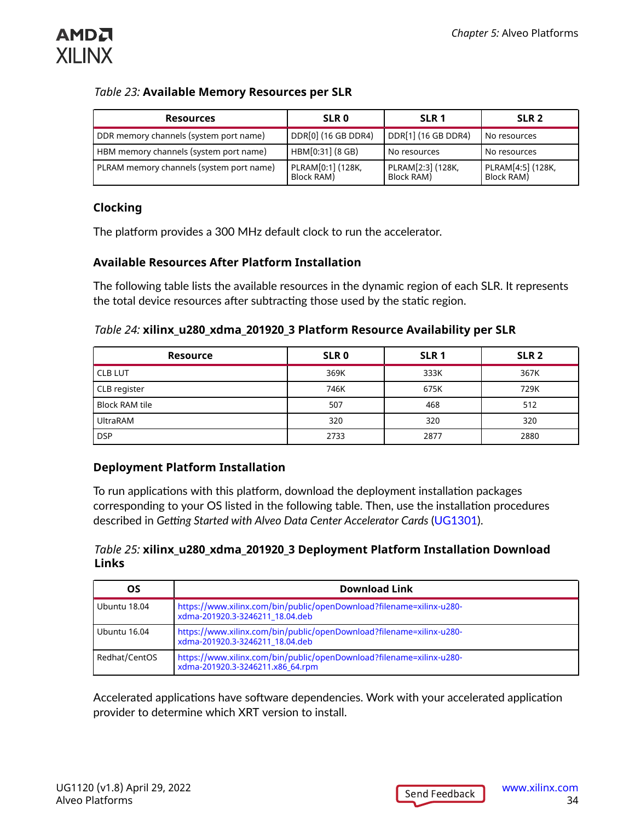

#### *Table 23:* **Available Memory Resources per SLR**

| <b>Resources</b>                         | <b>SLR 0</b>                    | SLR <sub>1</sub>                | SLR <sub>2</sub>                |
|------------------------------------------|---------------------------------|---------------------------------|---------------------------------|
| DDR memory channels (system port name)   | DDR[0] (16 GB DDR4)             | DDR[1] (16 GB DDR4)             | No resources                    |
| HBM memory channels (system port name)   | HBM[0:31] (8 GB)                | No resources                    | No resources                    |
| PLRAM memory channels (system port name) | PLRAM[0:1] (128K,<br>Block RAM) | PLRAM[2:3] (128K,<br>Block RAM) | PLRAM[4:5] (128K,<br>Block RAM) |

#### **Clocking**

The platform provides a 300 MHz default clock to run the accelerator.

#### **Available Resources After Platform Installation**

The following table lists the available resources in the dynamic region of each SLR. It represents the total device resources after subtracting those used by the static region.

#### *Table 24:* **xilinx\_u280\_xdma\_201920\_3 Platform Resource Availability per SLR**

| <b>Resource</b>       | SLR <sub>0</sub> | SLR <sub>1</sub> | SLR <sub>2</sub> |
|-----------------------|------------------|------------------|------------------|
| <b>CLB LUT</b>        | 369K             | 333K             | 367K             |
| CLB register          | 746K             | 675K             | 729K             |
| <b>Block RAM tile</b> | 507              | 468              | 512              |
| <b>UltraRAM</b>       | 320              | 320              | 320              |
| <b>DSP</b>            | 2733             | 2877             | 2880             |

#### **Deployment Platform Installation**

To run applications with this platform, download the deployment installation packages corresponding to your OS listed in the following table. Then, use the installation procedures described in *Getting Started with Alveo Data Center Accelerator Cards* ([UG1301\)](https://www.xilinx.com/cgi-bin/docs/bkdoc?v=latest;k=accelerator-cards;d=ug1301-getting-started-guide-alveo-accelerator-cards.pdf).

#### *Table 25:* **xilinx\_u280\_xdma\_201920\_3 Deployment Platform Installation Download Links**

| OS             | <b>Download Link</b>                                                                                     |
|----------------|----------------------------------------------------------------------------------------------------------|
| l Ubuntu 18.04 | https://www.xilinx.com/bin/public/openDownload?filename=xilinx-u280-<br>xdma-201920.3-3246211_18.04.deb  |
| l Ubuntu 16.04 | https://www.xilinx.com/bin/public/openDownload?filename=xilinx-u280-<br>xdma-201920.3-3246211_18.04.deb  |
| Redhat/CentOS  | https://www.xilinx.com/bin/public/openDownload?filename=xilinx-u280-<br>xdma-201920.3-3246211.x86 64.rpm |

Accelerated applications have software dependencies. Work with your accelerated application provider to determine which XRT version to install.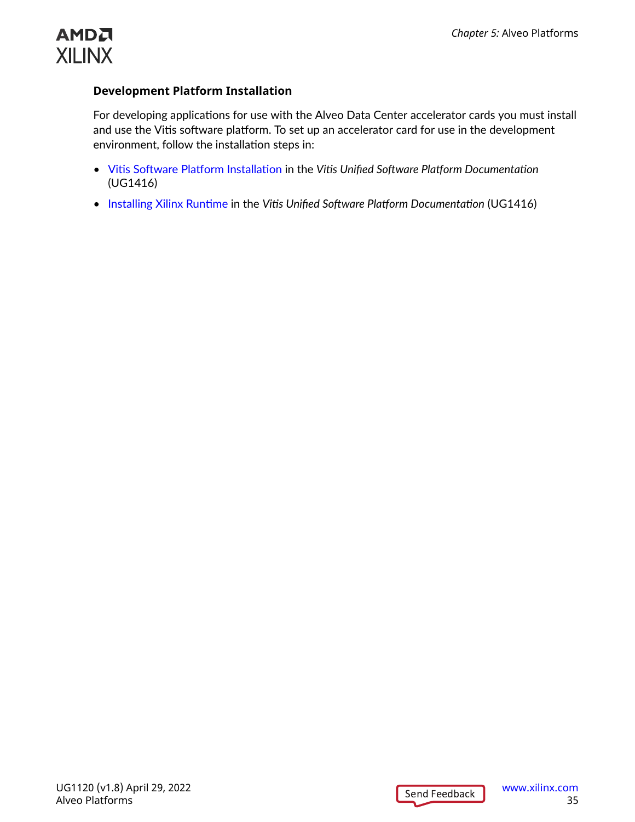

#### **Development Platform Installation**

For developing applications for use with the Alveo Data Center accelerator cards you must install and use the Vitis software platform. To set up an accelerator card for use in the development environment, follow the installation steps in:

- Vitis Software Platform [Installation](https://docs.xilinx.com/access/sources/dita/topic?ft:locale=en-US&dita:id=dhg1543555360045) in the *Vitis Unified Software Platform Documentation* (UG1416)
- [Installing Xilinx Runtime](https://docs.xilinx.com/access/sources/dita/topic?ft:locale=en-US&dita:id=pjr1542153622642) in the *Vitis Unified Software Platform Documentation* (UG1416)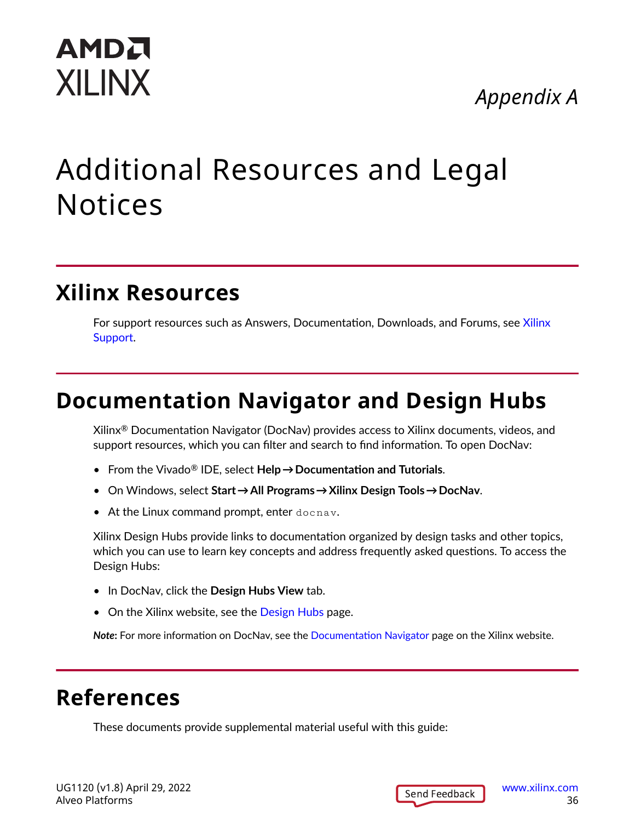## *Appendix A*

# <span id="page-35-0"></span>Additional Resources and Legal Notices

## **Xilinx Resources**

For support resources such as Answers, Documentation, Downloads, and Forums, see [Xilinx](https://www.xilinx.com/support) [Support.](https://www.xilinx.com/support)

## **Documentation Navigator and Design Hubs**

 $Xilinx<sup>®</sup>$  Documentation Navigator (DocNav) provides access to Xilinx documents, videos, and support resources, which you can filter and search to find information. To open DocNav:

- From the Vivado® IDE, select **Help → Documentation and Tutorials**.
- On Windows, select **Start → All Programs → Xilinx Design Tools → DocNav**.
- At the Linux command prompt, enter docnav.

Xilinx Design Hubs provide links to documentation organized by design tasks and other topics, which you can use to learn key concepts and address frequently asked questions. To access the Design Hubs:

- In DocNav, click the **Design Hubs View** tab.
- On the Xilinx website, see the [Design Hubs](https://www.xilinx.com/cgi-bin/docs/ndoc?t=design+hubs) page.

*Note***:** For more information on DocNav, see the [Documentation Navigator](https://www.xilinx.com/cgi-bin/docs/rdoc?t=docnav) page on the Xilinx website.

## **References**

These documents provide supplemental material useful with this guide: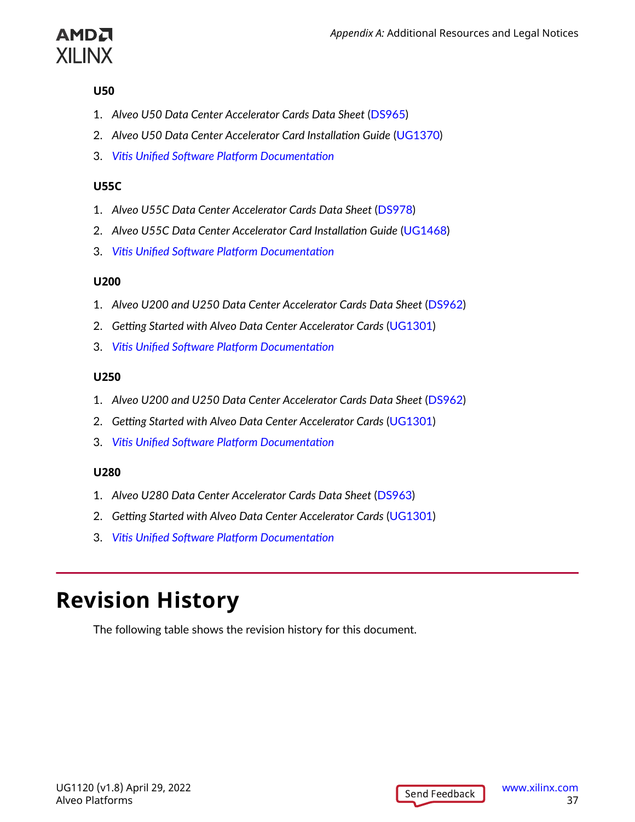<span id="page-36-0"></span>

#### **U50**

- 1. *Alveo U50 Data Center Accelerator Cards Data Sheet* ([DS965](https://www.xilinx.com/cgi-bin/docs/ndoc?t=data_sheets;d=ds965-u50.pdf))
- 2. *Alveo U50 Data Center Accelerator Card Installation Guide* [\(UG1370](https://www.xilinx.com/cgi-bin/docs/bkdoc?k=accelerator-cards;v=latest;d=ug1370-u50-installation.pdf))
- 3. *Vitis Unified Software Platform [Documentation](https://docs.xilinx.com/v/u/en-US/ug1416-vitis-documentation)*

#### **U55C**

- 1. *Alveo U55C Data Center Accelerator Cards Data Sheet* [\(DS978\)](https://www.xilinx.com/cgi-bin/docs/ndoc?t=data_sheets;d=ds978-u55c.pdf)
- 2. *Alveo U55C Data Center Accelerator Card Installation Guide* [\(UG1468\)](https://docs.xilinx.com/access/sources/ud/document?url=UG1468-smartlynq-cable&ft:locale=en-US)
- 3. *Vitis Unified Software Platform [Documentation](https://docs.xilinx.com/v/u/en-US/ug1416-vitis-documentation)*

#### **U200**

- 1. *Alveo U200 and U250 Data Center Accelerator Cards Data Sheet* [\(DS962](https://www.xilinx.com/cgi-bin/docs/ndoc?t=data_sheets;d=ds962-u200-u250.pdf))
- 2. *Getting Started with Alveo Data Center Accelerator Cards* ([UG1301](https://www.xilinx.com/cgi-bin/docs/bkdoc?v=latest;k=accelerator-cards;d=ug1301-getting-started-guide-alveo-accelerator-cards.pdf))
- 3. *Vitis Unified Software Platform [Documentation](https://docs.xilinx.com/v/u/en-US/ug1416-vitis-documentation)*

#### **U250**

- 1. *Alveo U200 and U250 Data Center Accelerator Cards Data Sheet* [\(DS962](https://www.xilinx.com/cgi-bin/docs/ndoc?t=data_sheets;d=ds962-u200-u250.pdf))
- 2. *Getting Started with Alveo Data Center Accelerator Cards* ([UG1301](https://www.xilinx.com/cgi-bin/docs/bkdoc?v=latest;k=accelerator-cards;d=ug1301-getting-started-guide-alveo-accelerator-cards.pdf))
- 3. *Vitis Unified Software Platform [Documentation](https://docs.xilinx.com/v/u/en-US/ug1416-vitis-documentation)*

#### **U280**

- 1. *Alveo U280 Data Center Accelerator Cards Data Sheet* ([DS963](https://www.xilinx.com/cgi-bin/docs/ndoc?t=data_sheets;d=ds963-u280.pdf))
- 2. *Getting Started with Alveo Data Center Accelerator Cards* ([UG1301](https://www.xilinx.com/cgi-bin/docs/bkdoc?v=latest;k=accelerator-cards;d=ug1301-getting-started-guide-alveo-accelerator-cards.pdf))
- 3. *Vitis Unified Software Platform [Documentation](https://docs.xilinx.com/v/u/en-US/ug1416-vitis-documentation)*

## **Revision History**

The following table shows the revision history for this document.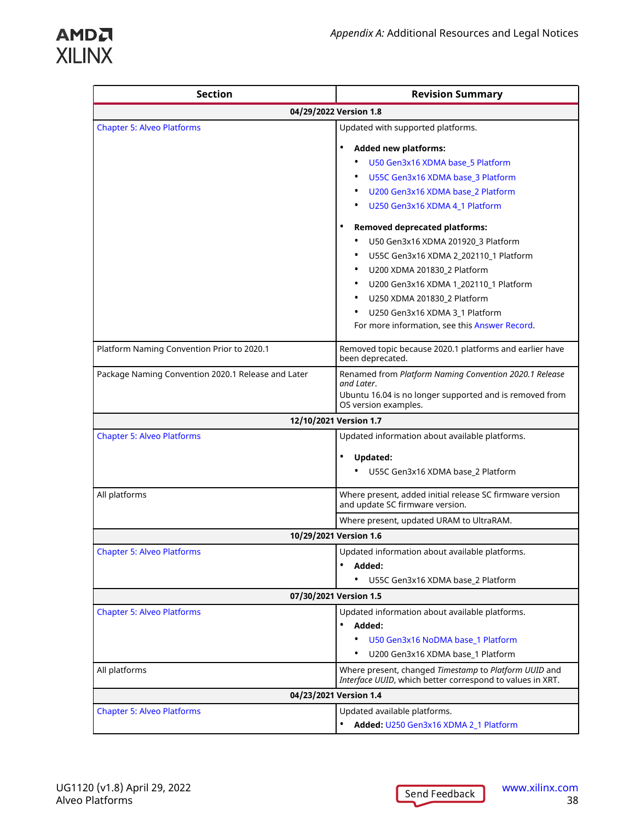| <b>Section</b>                                     | <b>Revision Summary</b>                                                                                            |
|----------------------------------------------------|--------------------------------------------------------------------------------------------------------------------|
|                                                    | 04/29/2022 Version 1.8                                                                                             |
| <b>Chapter 5: Alveo Platforms</b>                  | Updated with supported platforms.                                                                                  |
|                                                    | <b>Added new platforms:</b>                                                                                        |
|                                                    | U50 Gen3x16 XDMA base 5 Platform                                                                                   |
|                                                    | U55C Gen3x16 XDMA base 3 Platform                                                                                  |
|                                                    | U200 Gen3x16 XDMA base 2 Platform                                                                                  |
|                                                    | U250 Gen3x16 XDMA 4_1 Platform                                                                                     |
|                                                    | <b>Removed deprecated platforms:</b>                                                                               |
|                                                    | U50 Gen3x16 XDMA 201920 3 Platform                                                                                 |
|                                                    | U55C Gen3x16 XDMA 2_202110_1 Platform                                                                              |
|                                                    | U200 XDMA 201830_2 Platform                                                                                        |
|                                                    | U200 Gen3x16 XDMA 1_202110_1 Platform                                                                              |
|                                                    | U250 XDMA 201830_2 Platform<br>٠                                                                                   |
|                                                    | U250 Gen3x16 XDMA 3_1 Platform                                                                                     |
|                                                    | For more information, see this Answer Record.                                                                      |
| Platform Naming Convention Prior to 2020.1         | Removed topic because 2020.1 platforms and earlier have<br>been deprecated.                                        |
| Package Naming Convention 2020.1 Release and Later | Renamed from Platform Naming Convention 2020.1 Release                                                             |
|                                                    | and Later.<br>Ubuntu 16.04 is no longer supported and is removed from                                              |
|                                                    | OS version examples.                                                                                               |
|                                                    | 12/10/2021 Version 1.7                                                                                             |
| <b>Chapter 5: Alveo Platforms</b>                  | Updated information about available platforms.                                                                     |
|                                                    | <b>Updated:</b>                                                                                                    |
|                                                    | U55C Gen3x16 XDMA base_2 Platform                                                                                  |
|                                                    |                                                                                                                    |
| All platforms                                      | Where present, added initial release SC firmware version<br>and update SC firmware version.                        |
|                                                    | Where present, updated URAM to UltraRAM.                                                                           |
|                                                    | 10/29/2021 Version 1.6                                                                                             |
| <b>Chapter 5: Alveo Platforms</b>                  | Updated information about available platforms.                                                                     |
|                                                    | Added:                                                                                                             |
|                                                    | U55C Gen3x16 XDMA base 2 Platform                                                                                  |
| 07/30/2021 Version 1.5                             |                                                                                                                    |
| <b>Chapter 5: Alveo Platforms</b>                  | Updated information about available platforms.                                                                     |
|                                                    | Added:                                                                                                             |
|                                                    | U50 Gen3x16 NoDMA base 1 Platform                                                                                  |
|                                                    | U200 Gen3x16 XDMA base_1 Platform<br>$\bullet$                                                                     |
| All platforms                                      | Where present, changed Timestamp to Platform UUID and<br>Interface UUID, which better correspond to values in XRT. |
| 04/23/2021 Version 1.4                             |                                                                                                                    |
| <b>Chapter 5: Alveo Platforms</b>                  | Updated available platforms.                                                                                       |
|                                                    | Added: U250 Gen3x16 XDMA 2_1 Platform                                                                              |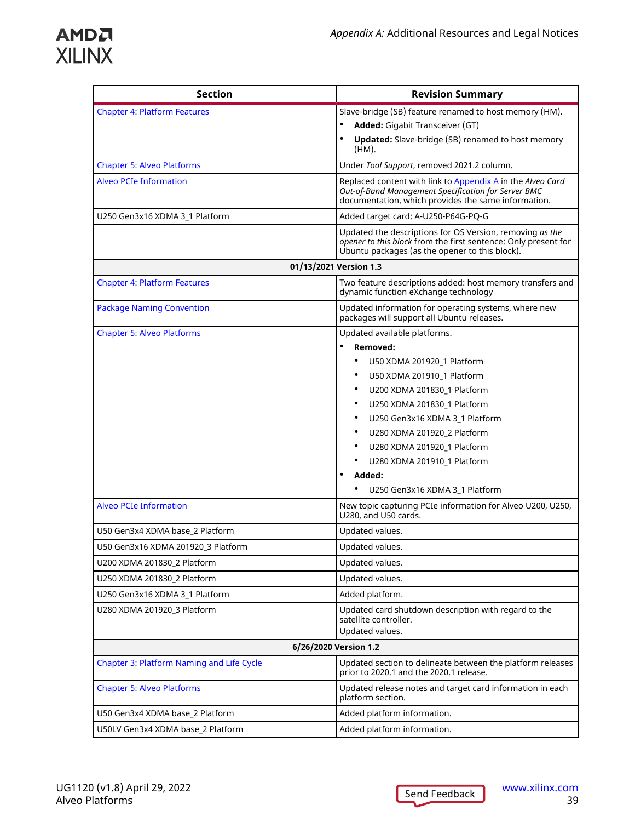

| <b>Section</b>                                                     | <b>Revision Summary</b>                                                                                                                                                                                                                                                                                                                                                                                               |  |
|--------------------------------------------------------------------|-----------------------------------------------------------------------------------------------------------------------------------------------------------------------------------------------------------------------------------------------------------------------------------------------------------------------------------------------------------------------------------------------------------------------|--|
| <b>Chapter 4: Platform Features</b>                                | Slave-bridge (SB) feature renamed to host memory (HM).<br>$\bullet$<br>Added: Gigabit Transceiver (GT)<br><b>Updated:</b> Slave-bridge (SB) renamed to host memory<br>(HM).                                                                                                                                                                                                                                           |  |
| <b>Chapter 5: Alveo Platforms</b>                                  | Under Tool Support, removed 2021.2 column.                                                                                                                                                                                                                                                                                                                                                                            |  |
| <b>Alveo PCIe Information</b>                                      | Replaced content with link to Appendix A in the Alveo Card<br>Out-of-Band Management Specification for Server BMC<br>documentation, which provides the same information.                                                                                                                                                                                                                                              |  |
| U250 Gen3x16 XDMA 3_1 Platform                                     | Added target card: A-U250-P64G-PQ-G                                                                                                                                                                                                                                                                                                                                                                                   |  |
|                                                                    | Updated the descriptions for OS Version, removing as the<br>opener to this block from the first sentence: Only present for<br>Ubuntu packages (as the opener to this block).                                                                                                                                                                                                                                          |  |
|                                                                    | 01/13/2021 Version 1.3                                                                                                                                                                                                                                                                                                                                                                                                |  |
| <b>Chapter 4: Platform Features</b>                                | Two feature descriptions added: host memory transfers and<br>dynamic function eXchange technology                                                                                                                                                                                                                                                                                                                     |  |
| <b>Package Naming Convention</b>                                   | Updated information for operating systems, where new<br>packages will support all Ubuntu releases.                                                                                                                                                                                                                                                                                                                    |  |
| <b>Chapter 5: Alveo Platforms</b><br><b>Alveo PCIe Information</b> | Updated available platforms.<br>Removed:<br>U50 XDMA 201920 1 Platform<br>U50 XDMA 201910 1 Platform<br>U200 XDMA 201830_1 Platform<br>U250 XDMA 201830 1 Platform<br>U250 Gen3x16 XDMA 3 1 Platform<br>U280 XDMA 201920_2 Platform<br>٠<br>U280 XDMA 201920_1 Platform<br>٠<br>U280 XDMA 201910_1 Platform<br>Added:<br>U250 Gen3x16 XDMA 3_1 Platform<br>New topic capturing PCIe information for Alveo U200, U250, |  |
|                                                                    | U280, and U50 cards.                                                                                                                                                                                                                                                                                                                                                                                                  |  |
| U50 Gen3x4 XDMA base 2 Platform                                    | Updated values.                                                                                                                                                                                                                                                                                                                                                                                                       |  |
| U50 Gen3x16 XDMA 201920 3 Platform                                 | Updated values.                                                                                                                                                                                                                                                                                                                                                                                                       |  |
| U200 XDMA 201830 2 Platform                                        | Updated values.                                                                                                                                                                                                                                                                                                                                                                                                       |  |
| U250 XDMA 201830_2 Platform                                        | Updated values.                                                                                                                                                                                                                                                                                                                                                                                                       |  |
| U250 Gen3x16 XDMA 3_1 Platform                                     | Added platform.                                                                                                                                                                                                                                                                                                                                                                                                       |  |
| U280 XDMA 201920_3 Platform                                        | Updated card shutdown description with regard to the<br>satellite controller.<br>Updated values.                                                                                                                                                                                                                                                                                                                      |  |
| 6/26/2020 Version 1.2                                              |                                                                                                                                                                                                                                                                                                                                                                                                                       |  |
| Chapter 3: Platform Naming and Life Cycle                          | Updated section to delineate between the platform releases<br>prior to 2020.1 and the 2020.1 release.                                                                                                                                                                                                                                                                                                                 |  |
| <b>Chapter 5: Alveo Platforms</b>                                  | Updated release notes and target card information in each<br>platform section.                                                                                                                                                                                                                                                                                                                                        |  |
| U50 Gen3x4 XDMA base_2 Platform                                    | Added platform information.                                                                                                                                                                                                                                                                                                                                                                                           |  |
| U50LV Gen3x4 XDMA base_2 Platform                                  | Added platform information.                                                                                                                                                                                                                                                                                                                                                                                           |  |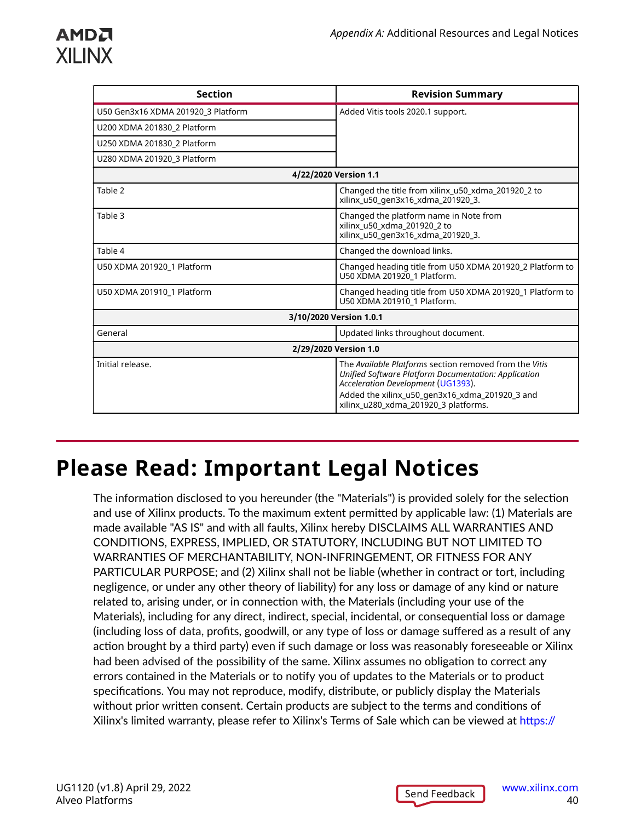### <span id="page-39-0"></span>АМDД **XILINX**

| <b>Section</b>                     | <b>Revision Summary</b>                                                                                                                                                                                                                        |  |  |
|------------------------------------|------------------------------------------------------------------------------------------------------------------------------------------------------------------------------------------------------------------------------------------------|--|--|
| U50 Gen3x16 XDMA 201920 3 Platform | Added Vitis tools 2020.1 support.                                                                                                                                                                                                              |  |  |
| U200 XDMA 201830 2 Platform        |                                                                                                                                                                                                                                                |  |  |
| U250 XDMA 201830 2 Platform        |                                                                                                                                                                                                                                                |  |  |
| U280 XDMA 201920 3 Platform        |                                                                                                                                                                                                                                                |  |  |
|                                    | 4/22/2020 Version 1.1                                                                                                                                                                                                                          |  |  |
| Table 2                            | Changed the title from xilinx_u50_xdma_201920_2 to<br>xilinx u50 gen3x16 xdma 201920 3.                                                                                                                                                        |  |  |
| Table 3                            | Changed the platform name in Note from<br>xilinx_u50_xdma_201920_2 to<br>xilinx u50 gen3x16 xdma 201920 3.                                                                                                                                     |  |  |
| Table 4                            | Changed the download links.                                                                                                                                                                                                                    |  |  |
| U50 XDMA 201920 1 Platform         | Changed heading title from U50 XDMA 201920 2 Platform to<br>U50 XDMA 201920 1 Platform.                                                                                                                                                        |  |  |
| U50 XDMA 201910 1 Platform         | Changed heading title from U50 XDMA 201920 1 Platform to<br>U50 XDMA 201910_1 Platform.                                                                                                                                                        |  |  |
| 3/10/2020 Version 1.0.1            |                                                                                                                                                                                                                                                |  |  |
| General                            | Updated links throughout document.                                                                                                                                                                                                             |  |  |
| 2/29/2020 Version 1.0              |                                                                                                                                                                                                                                                |  |  |
| Initial release.                   | The Available Platforms section removed from the Vitis<br>Unified Software Platform Documentation: Application<br>Acceleration Development (UG1393).<br>Added the xilinx u50 gen3x16 xdma 201920 3 and<br>xilinx_u280_xdma_201920_3 platforms. |  |  |

## **Please Read: Important Legal Notices**

The information disclosed to you hereunder (the "Materials") is provided solely for the selection and use of Xilinx products. To the maximum extent permitted by applicable law: (1) Materials are made available "AS IS" and with all faults, Xilinx hereby DISCLAIMS ALL WARRANTIES AND CONDITIONS, EXPRESS, IMPLIED, OR STATUTORY, INCLUDING BUT NOT LIMITED TO WARRANTIES OF MERCHANTABILITY, NON-INFRINGEMENT, OR FITNESS FOR ANY PARTICULAR PURPOSE; and (2) Xilinx shall not be liable (whether in contract or tort, including negligence, or under any other theory of liability) for any loss or damage of any kind or nature related to, arising under, or in connection with, the Materials (including your use of the Materials), including for any direct, indirect, special, incidental, or consequential loss or damage (including loss of data, profits, goodwill, or any type of loss or damage suffered as a result of any action brought by a third party) even if such damage or loss was reasonably foreseeable or Xilinx had been advised of the possibility of the same. Xilinx assumes no obligation to correct any errors contained in the Materials or to notify you of updates to the Materials or to product specifications. You may not reproduce, modify, distribute, or publicly display the Materials without prior written consent. Certain products are subject to the terms and conditions of Xilinx's limited warranty, please refer to Xilinx's Terms of Sale which can be viewed at [https://](https://www.xilinx.com/legal.htm#tos)